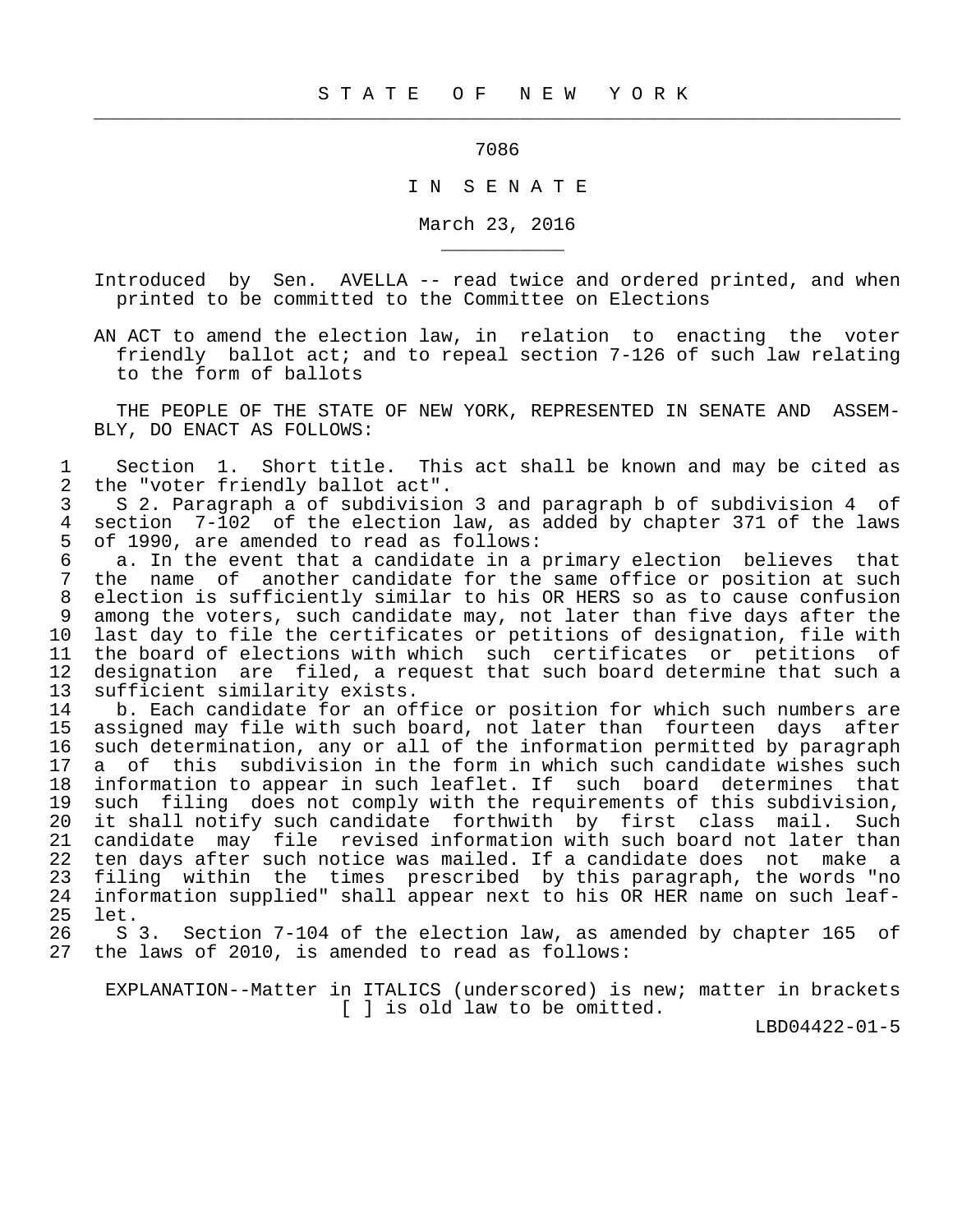ли последници производите в 1986 године в 1986 године в 1986 године в 1986 године в 1986 године в 1986 године<br>В 1986 године в 1986 године в 1986 године в 1986 године в 1986 године в 1986 године в 1986 године в 1986 годин

 $\frac{1}{2}$  , and the contribution of the contribution of the contribution of the contribution of the contribution of the contribution of the contribution of the contribution of the contribution of the contribution of the c

\_\_\_\_\_\_\_\_\_\_\_

## I N S E N A T E

March 23, 2016

 Introduced by Sen. AVELLA -- read twice and ordered printed, and when printed to be committed to the Committee on Elections

 AN ACT to amend the election law, in relation to enacting the voter friendly ballot act; and to repeal section 7-126 of such law relating to the form of ballots

 THE PEOPLE OF THE STATE OF NEW YORK, REPRESENTED IN SENATE AND ASSEM- BLY, DO ENACT AS FOLLOWS:

1 Section 1. Short title. This act shall be known and may be cited as<br>2 the "voter friendly ballot act". 2 the "voter friendly ballot act".<br>3 S 2. Paragraph a of subdivisio

 3 S 2. Paragraph a of subdivision 3 and paragraph b of subdivision 4 of 4 section 7-102 of the election law, as added by chapter 371 of the laws<br>5 of 1990, are amended to read as follows: 5 of 1990, are amended to read as follows:<br>6 a. In the event that a candidate in a

6 a. In the event that a candidate in a primary election believes that<br>7 the name of another candidate for the same office or position at such 7 the name of another candidate for the same office or position at such<br>8 election is sufficiently similar to his OR HERS so as to cause confusion 8 election is sufficiently similar to his OR HERS so as to cause confusion<br>8 among the voters, such candidate may, not later than five days after the 9 among the voters, such candidate may, not later than five days after the<br>10 last day to file the certificates or petitions of designation, file with 10 last day to file the certificates or petitions of designation, file with<br>11 the board of elections with which such certificates or petitions of 11 the board of elections with which such certificates or petitions of<br>12 designation are filed, a reguest that such board determine that such a 12 designation are filed, a request that such board determine that such a<br>13 sufficient similarity exists. 13 sufficient similarity exists.<br>14 b. Each candidate for an of

14 b. Each candidate for an office or position for which such numbers are<br>15 assigned may file with such board, not later than fourteen days after assigned may file with such board, not later than fourteen days after 16 such determination, any or all of the information permitted by paragraph 17 a of this subdivision in the form in which such candidate wishes such 18 information to appear in such leaflet. If such board determines that 19 such filing does not comply with the requirements of this subdivision,<br>20 it shall notify such candidate forthwith by first class mail. Such 20 it shall notify such candidate forthwith by first class mail. Such<br>21 candidate may file revised information with such board not later than 21 candidate may file revised information with such board not later than<br>22 ten days after such notice was mailed. If a candidate does not make a 22 ten days after such notice was mailed. If a candidate does not make a<br>23 filing within the times prescribed by this paragraph, the words "no 23 filing within the times prescribed by this paragraph, the words "no<br>24 information supplied" shall appear next to his OR HER name on such leaf- 24 information supplied" shall appear next to his OR HER name on such leaf- 25 let.<br>26 S

26 S 3. Section 7-104 of the election law, as amended by chapter 165 of 27 the laws of 2010, is amended to read as follows: the laws of 2010, is amended to read as follows:

 EXPLANATION--Matter in ITALICS (underscored) is new; matter in brackets [ ] is old law to be omitted.

LBD04422-01-5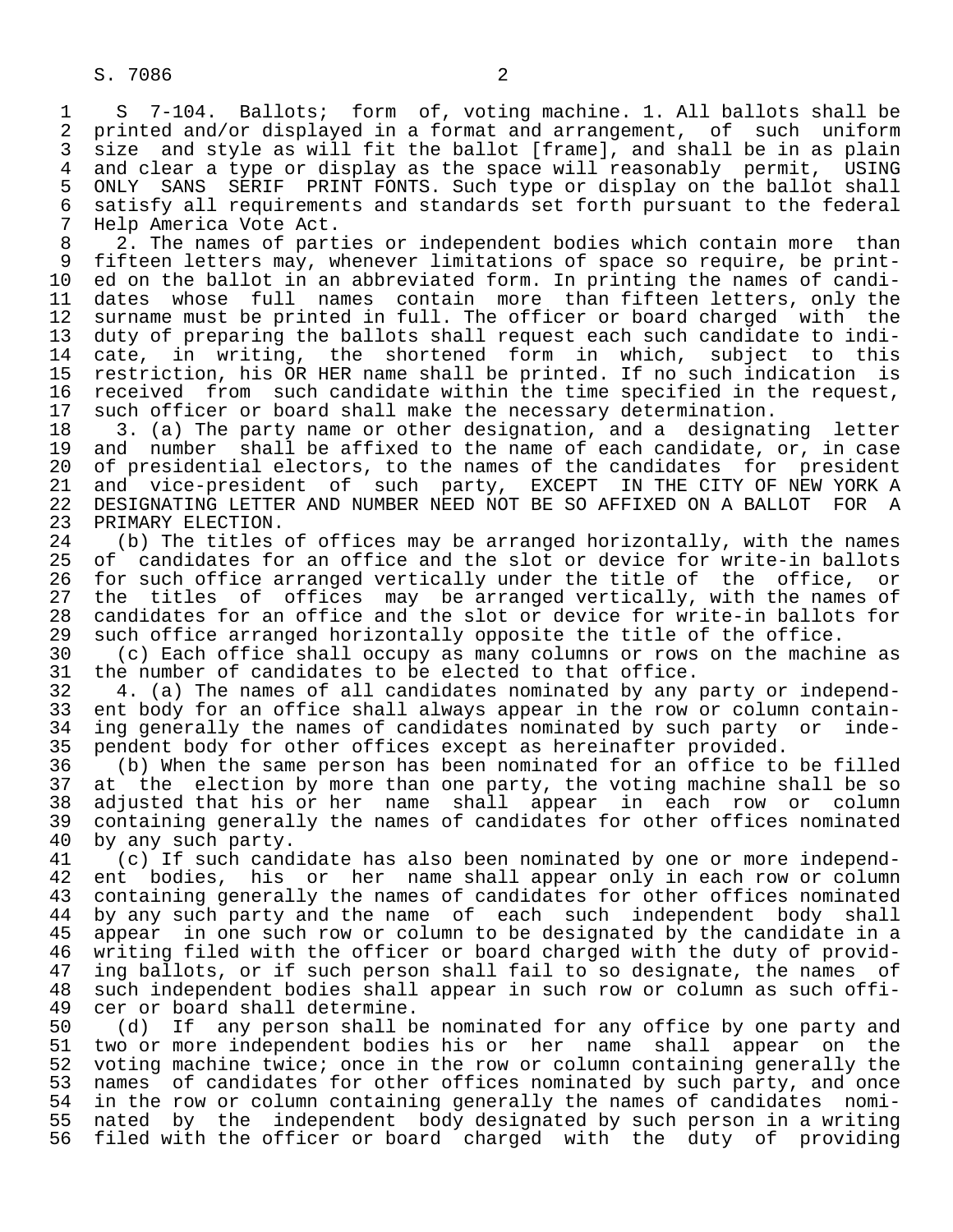1 S 7-104. Ballots; form of, voting machine. 1. All ballots shall be<br>2 printed and/or displayed in a format and arrangement, of such uniform 2 printed and/or displayed in a format and arrangement, of such uniform<br>3 size and style as will fit the ballot [frame], and shall be in as plain 3 size and style as will fit the ballot [frame], and shall be in as plain<br>4 and clear a type or display as the space will reasonably permit. USING 4 and clear a type or display as the space will reasonably permit, USING<br>5 ONLY SANS SERIF PRINT FONTS. Such type or display on the ballot shall 5 ONLY SANS SERIF PRINT FONTS. Such type or display on the ballot shall<br>6 satisfy all requirements and standards set forth pursuant to the federal 6 satisfy all requirements and standards set forth pursuant to the federal<br>7 Help America Vote Act. 7 Help America Vote Act.<br>8 2. The names of part

8 2. The names of parties or independent bodies which contain more than<br>9 fifteen letters may, whenever limitations of space so require, be print-9 fifteen letters may, whenever limitations of space so require, be print-<br>10 ed on the ballot in an abbreviated form. In printing the names of candi-10 ed on the ballot in an abbreviated form. In printing the names of candi-<br>11 dates whose full names contain more than fifteen letters, only the 11 dates whose full names contain more than fifteen letters, only the<br>12 surname must be printed in full. The officer or board charged with the 12 surname must be printed in full. The officer or board charged with the<br>13 duty of preparing the ballots shall request each such candidate to indi-13 duty of preparing the ballots shall request each such candidate to indi-<br>14 cate, in writing, the shortened form in which, subject to this 14 cate, in writing, the shortened form in which, subject to this<br>15 restriction, his OR HER name shall be printed. If no such indication is 15 restriction, his OR HER name shall be printed. If no such indication is<br>16 received from such candidate within the time specified in the request, 16 received from such candidate within the time specified in the request,<br>17 such officer or board shall make the necessary determination. 17 such officer or board shall make the necessary determination.<br>18 3. (a) The party name or other designation, and a designat

18 3. (a) The party name or other designation, and a designating letter<br>19 and number shall be affixed to the name of each candidate, or, in case 19 and number shall be affixed to the name of each candidate, or, in case<br>20 of presidential electors, to the names of the candidates for president 20 of presidential electors, to the names of the candidates for president<br>21 and vice-president of such party, EXCEPT IN THE CITY OF NEW YORK A 21 and vice-president of such party, EXCEPT<br>22 DESIGNATING LETTER AND NUMBER NEED NOT BE SO A 22 DESIGNATING LETTER AND NUMBER NEED NOT BE SO AFFIXED ON A BALLOT FOR A 23 PRIMARY ELECTION. 23 PRIMARY ELECTION.<br>24 (b) The titles

24 (b) The titles of offices may be arranged horizontally, with the names<br>25 of candidates for an office and the slot or device for write-in ballots of candidates for an office and the slot or device for write-in ballots 26 for such office arranged vertically under the title of the office, or<br>27 the titles of offices may be arranged vertically, with the names of 27 the titles of offices may be arranged vertically, with the names of<br>28 candidates for an office and the slot or device for write-in ballots for 28 candidates for an office and the slot or device for write-in ballots for<br>29 such office arranged horizontally opposite the title of the office. 29 such office arranged horizontally opposite the title of the office.<br>30 (c) Each office shall occupy as many columns or rows on the machi

30 (c) Each office shall occupy as many columns or rows on the machine as 31 the number of candidates to be elected to that office. 31 the number of candidates to be elected to that office.<br>32 4. (a) The names of all candidates nominated by any

32 4. (a) The names of all candidates nominated by any party or independ-<br>33 ent body for an office shall always appear in the row or column contain-33 ent body for an office shall always appear in the row or column contain-<br>34 ing generally the names of candidates nominated by such party or inde-34 ing generally the names of candidates nominated by such party or inde-<br>35 pendent body for other offices except as hereinafter provided. 35 pendent body for other offices except as hereinafter provided.<br>36 (b) When the same person has been nominated for an office to

36 (b) When the same person has been nominated for an office to be filled<br>37 at the election by more than one party, the voting machine shall be so 37 at the election by more than one party, the voting machine shall be so<br>38 adjusted that his or her name shall appear in each row or column 38 adjusted that his or her name shall appear in each row or column<br>39 containing generally the names of candidates for other offices nominated 39 containing generally the names of candidates for other offices nominated<br>40 by any such party. 40 by any such party.<br>41 (c) If such cand

41 (c) If such candidate has also been nominated by one or more independ-<br>42 ent bodies, his or her name shall appear only in each row or column 42 ent bodies, his or her name shall appear only in each row or column<br>43 containing generally the names of candidates for other offices nominated 43 containing generally the names of candidates for other offices nominated<br>44 by any such party and the name of each such independent body shall 44 by any such party and the name of each such independent body shall<br>45 appear in one such row or column to be designated by the candidate in a 45 appear in one such row or column to be designated by the candidate in a<br>46 writing filed with the officer or board charged with the duty of provid-46 writing filed with the officer or board charged with the duty of provid-<br>47 ing ballots, or if such person shall fail to so designate, the names of 47 ing ballots, or if such person shall fail to so designate, the names of<br>48 such independent bodies shall appear in such row or column as such offi- 48 such independent bodies shall appear in such row or column as such offi- 49 cer or board shall determine.<br>50 (d) If any person shall b

50 (d) If any person shall be nominated for any office by one party and<br>51 two or more independent bodies his or her name shall appear on the 51 two or more independent bodies his or her name shall appear on the<br>52 voting machine twice; once in the row or column containing generally the 52 voting machine twice; once in the row or column containing generally the<br>53 names of candidates for other offices nominated by such party, and once 53 names of candidates for other offices nominated by such party, and once<br>54 in the row or column containing generally the names of candidates nomi-54 in the row or column containing generally the names of candidates nomi-<br>55 nated by the independent body designated by such person in a writing 55 nated by the independent body designated by such person in a writing<br>56 filed with the officer or board charged with the duty of providing filed with the officer or board charged with the duty of providing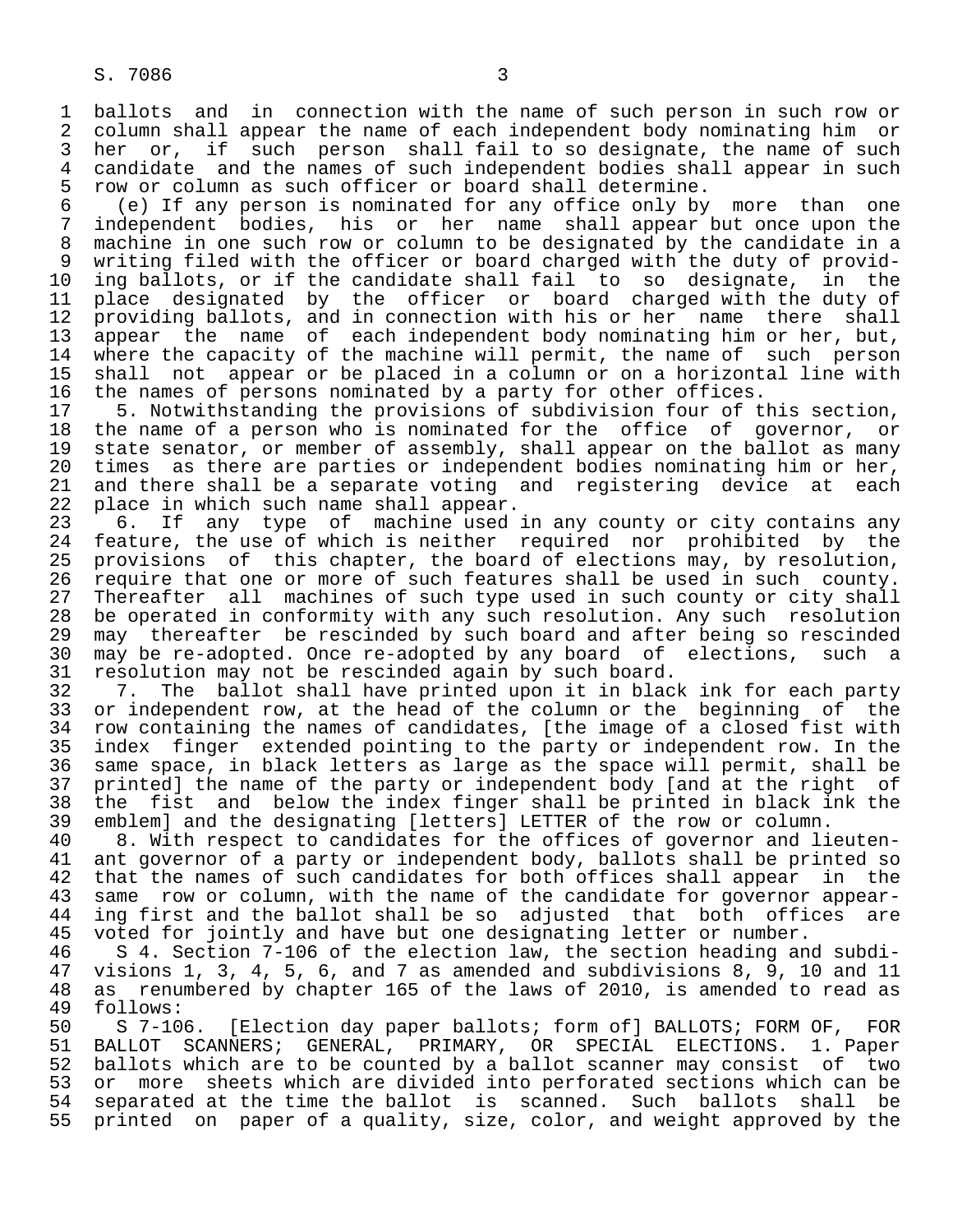1 ballots and in connection with the name of such person in such row or<br>2 column shall appear the name of each independent body nominating him or 2 column shall appear the name of each independent body nominating him or<br>3 her or, if such person shall fail to so designate, the name of such 3 her or, if such person shall fail to so designate, the name of such<br>4 candidate and the names of such independent bodies shall appear in such 4 candidate and the names of such independent bodies shall appear in such<br>5 row or column as such officer or board shall determine. 5 row or column as such officer or board shall determine.<br>6 (e) If any person is nominated for any office only by

 6 (e) If any person is nominated for any office only by more than one 7 independent bodies, his or her name shall appear but once upon the<br>8 machine in one such row or column to be designated by the candidate in a 8 machine in one such row or column to be designated by the candidate in a<br>8 writing filed with the officer or board charged with the duty of provid-9 writing filed with the officer or board charged with the duty of provid-<br>10 ing ballots, or if the candidate shall fail to so designate, in the 10 ing ballots, or if the candidate shall fail to so designate,<br>11 place designated by the officer or board charged with the 11 place designated by the officer or board charged with the duty of<br>12 providing ballots, and in connection with his or her name there shall 12 providing ballots, and in connection with his or her name there shall<br>13 appear the name of each independent body nominating him or her, but, 13 appear the name of each independent body nominating him or her, but,<br>14 where the capacity of the machine will permit, the name of such person where the capacity of the machine will permit, the name of such person 15 shall not appear or be placed in a column or on a horizontal line with<br>16 the names of persons nominated by a party for other offices. 16 the names of persons nominated by a party for other offices.<br>17 5. Notwithstanding the provisions of subdivision four of t

17 5. Notwithstanding the provisions of subdivision four of this section,<br>18 the name of a person who is nominated for the office of governor, or 18 the name of a person who is nominated for the office of governor, or<br>19 state senator, or member of assembly, shall appear on the ballot as many 19 state senator, or member of assembly, shall appear on the ballot as many<br>20 times as there are parties or independent bodies nominating him or her, 20 times as there are parties or independent bodies nominating him or her,<br>21 and there shall be a separate voting and registering device at each 21 and there shall be a separate voting and registering device at<br>22 place in which such name shall appear. 22 place in which such name shall appear.<br>23 6. If any type of machine used

23 6. If any type of machine used in any county or city contains any<br>24 feature, the use of which is neither required nor prohibited by the 24 feature, the use of which is neither required nor prohibited by the<br>25 provisions of this chapter, the board of elections may, by resolution, 25 provisions of this chapter, the board of elections may, by resolution, 26 require that one or more of such features shall be used in such county.<br>27 Thereafter all machines of such type used in such county or city shall 27 Thereafter all machines of such type used in such county or city shall<br>28 be operated in conformity with any such resolution. Any such resolution 28 be operated in conformity with any such resolution. Any such resolution<br>29 may thereafter be rescinded by such board and after being so rescinded 29 may thereafter be rescinded by such board and after being so rescinded<br>30 may be re-adopted. Once re-adopted by any board of elections, such a 30 may be re-adopted. Once re-adopted by any board of elections, such a 31 resolution may not be rescinded again by such board.<br>32 7. The ballot shall have printed upon it in blac

32 7. The ballot shall have printed upon it in black ink for each party<br>33 or independent row, at the head of the column or the beginning of the 33 or independent row, at the head of the column or the beginning of the<br>34 row containing the names of candidates, [the image of a closed fist with 34 row containing the names of candidates, [the image of a closed fist with<br>35 index finger extended pointing to the party or independent row. In the 35 index finger extended pointing to the party or independent row. In the<br>36 same space, in black letters as large as the space will permit, shall be same space, in black letters as large as the space will permit, shall be 37 printed] the name of the party or independent body [and at the right of<br>38 the fist and below the index finger shall be printed in black ink the 38 the fist and below the index finger shall be printed in black ink the<br>39 embleml and the designating [letters] LETTER of the row or column. 39 emblem] and the designating [letters] LETTER of the row or column.<br>40 8. With respect to candidates for the offices of governor and li

40 8. With respect to candidates for the offices of governor and lieuten-<br>41 ant governor of a party or independent body, ballots shall be printed so 41 ant governor of a party or independent body, ballots shall be printed so<br>42 that the names of such candidates for both offices shall appear in the 42 that the names of such candidates for both offices shall appear in the<br>43 same row or column, with the name of the candidate for governor appear-43 same row or column, with the name of the candidate for governor appear-<br>44 ing first and the ballot shall be so adjusted that both offices are 44 ing first and the ballot shall be so adjusted that both offices are<br>45 voted for jointly and have but one designating letter or number. voted for jointly and have but one designating letter or number.

 46 S 4. Section 7-106 of the election law, the section heading and subdi- 47 visions 1, 3, 4, 5, 6, and 7 as amended and subdivisions 8, 9, 10 and 11 48 as renumbered by chapter 165 of the laws of 2010, is amended to read as 49 follows:

49 follows:<br>50 S 7-106. 50 S 7-106. [Election day paper ballots; form of] BALLOTS; FORM OF, FOR<br>51 BALLOT SCANNERS; GENERAL, PRIMARY, OR SPECIAL ELECTIONS. 1. Paper 51 BALLOT SCANNERS; GENERAL, PRIMARY, OR SPECIAL ELECTIONS. 1. Paper 52 ballots which are to be counted by a ballot scanner may consist of two<br>53 or more sheets which are divided into perforated sections which can be 53 or more sheets which are divided into perforated sections which can be<br>54 separated at the time the ballot is scanned. Such ballots shall be 54 separated at the time the ballot is scanned.<br>55 printed on paper of a quality, size, color, an printed on paper of a quality, size, color, and weight approved by the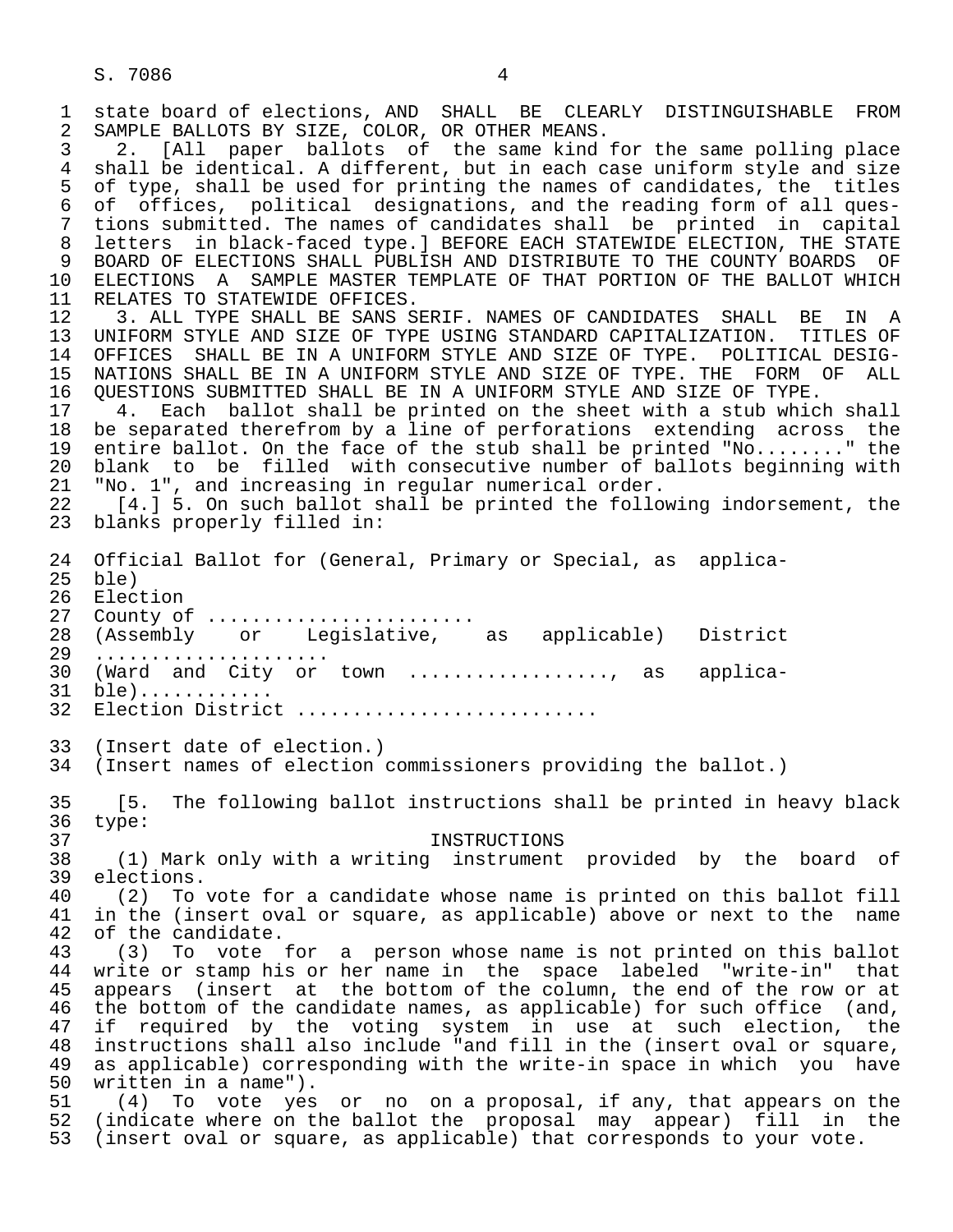1 state board of elections, AND SHALL BE CLEARLY DISTINGUISHABLE FROM<br>2 SAMPLE BALLOTS BY SIZE, COLOR, OR OTHER MEANS. 2 SAMPLE BALLOTS BY SIZE, COLOR, OR OTHER MEANS.<br>3 2. [All paper ballots of the same kind 3 2. [All paper ballots of the same kind for the same polling place 4 shall be identical. A different, but in each case uniform style and size<br>5 of type, shall be used for printing the names of candidates, the titles 5 of type, shall be used for printing the names of candidates, the titles<br>6 of offices, political designations, and the reading form of all ques-6 of offices, political designations, and the reading form of all ques-<br>7 tions submitted. The names of candidates shall be printed in capital 7 tions submitted. The names of candidates shall be printed in capital 8 letters in black-faced type.] BEFORE EACH STATEWIDE ELECTION, THE STATE<br>9 BOARD OF ELECTIONS SHALL PUBLISH AND DISTRIBUTE TO THE COUNTY BOARDS OF 9 BOARD OF ELECTIONS SHALL PUBLISH AND DISTRIBUTE TO THE COUNTY BOARDS OF<br>10 ELECTIONS A SAMPLE MASTER TEMPLATE OF THAT PORTION OF THE BALLOT WHICH 10 ELECTIONS A SAMPLE MASTER TEMPLATE OF THAT PORTION OF THE BALLOT WHICH 11 RELATES TO STATEWIDE OFFICES. 11 RELATES TO STATEWIDE OFFICES.<br>12 3. ALL TYPE SHALL BE SANS S 12 3. ALL TYPE SHALL BE SANS SERIF. NAMES OF CANDIDATES SHALL BE IN A<br>13 UNIFORM STYLE AND SIZE OF TYPE USING STANDARD CAPITALIZATION. TITLES OF 13 UNIFORM STYLE AND SIZE OF TYPE USING STANDARD CAPITALIZATION. TITLES OF<br>14 OFFICES SHALL BE IN A UNIFORM STYLE AND SIZE OF TYPE. POLITICAL DESIG-14 OFFICES SHALL BE IN A UNIFORM STYLE AND SIZE OF TYPE. POLITICAL DESIG-<br>15 NATIONS SHALL BE IN A UNIFORM STYLE AND SIZE OF TYPE. THE FORM OF ALL 15 NATIONS SHALL BE IN A UNIFORM STYLE AND SIZE OF TYPE. THE FORM OF ALL<br>16 OUESTIONS SUBMITTED SHALL BE IN A UNIFORM STYLE AND SIZE OF TYPE. 16 QUESTIONS SUBMITTED SHALL BE IN A UNIFORM STYLE AND SIZE OF TYPE.<br>17 9. Each ballot shall be printed on the sheet with a stub whic 17 4. Each ballot shall be printed on the sheet with a stub which shall<br>18 be separated therefrom by a line of perforations extending across the 18 be separated therefrom by a line of perforations extending across the<br>19 entire ballot. On the face of the stub shall be printed "No........" the 19 entire ballot. On the face of the stub shall be printed "No........" the<br>20 blank to be filled with consecutive number of ballots beginning with 20 blank to be filled with consecutive number of ballots beginning with<br>21 "No. 1", and increasing in regular numerical order. 21 "No. 1", and increasing in regular numerical order.<br>22 [4.] 5. On such ballot shall be printed the follo 22 [4.] 5. On such ballot shall be printed the following indorsement, the 23 blanks properly filled in: blanks properly filled in: 24 Official Ballot for (General, Primary or Special, as applica- 25 ble)<br>26 Elec 26 Election<br>27 County of 27 County of ........................<br>28 (Assembly or Legislative, 28 (Assembly or Legislative, as applicable) District 29 .....................<br>30 (Ward and City or 30 (Ward and City or town ..................., as applica-<br>31 ble)............ 31 ble)............<br>32 Election Distric Election District ........................... 33 (Insert date of election.)<br>34 (Insert names of election (Insert names of election commissioners providing the ballot.) 35 [5. The following ballot instructions shall be printed in heavy black 36 type: 37 INSTRUCTIONS<br>38 (1) Mark only with a writing instrument 38 (1) Mark only with a writing instrument provided by the board of  $39$  elections.<br> $40$   $(2)$  To 40 (2) To vote for a candidate whose name is printed on this ballot fill<br>41 in the (insert oval or square, as applicable) above or next to the name 41 in the (insert oval or square, as applicable) above or next to the name 42 of the candidate. of the candidate. 43 (3) To vote for a person whose name is not printed on this ballot<br>44 write or stamp his or her name in the space labeled "write-in" that 44 write or stamp his or her name in the space labeled "write-in" that<br>45 appears (insert at the bottom of the column, the end of the row or at 45 appears (insert at the bottom of the column, the end of the row or at<br>46 the bottom of the candidate names, as applicable) for such office (and, 46 the bottom of the candidate names, as applicable) for such office (and,<br>47 if required by the voting system in use at such election, the 47 if required by the voting system in use at such election, the<br>48 instructions shall also include "and fill in the (insert oval or square, 48 instructions shall also include "and fill in the (insert oval or square,<br>49 as applicable) corresponding with the write-in space in which you have as applicable) corresponding with the write-in space in which you have 50 written in a name").<br>51 (4) To vote yes 51 (4) To vote yes or no on a proposal, if any, that appears on the<br>52 (indicate where on the ballot the proposal may appear) fill in the 52 (indicate where on the ballot the proposal may appear) fill in the<br>53 (insert oval or square, as applicable) that corresponds to your vote. (insert oval or square, as applicable) that corresponds to your vote.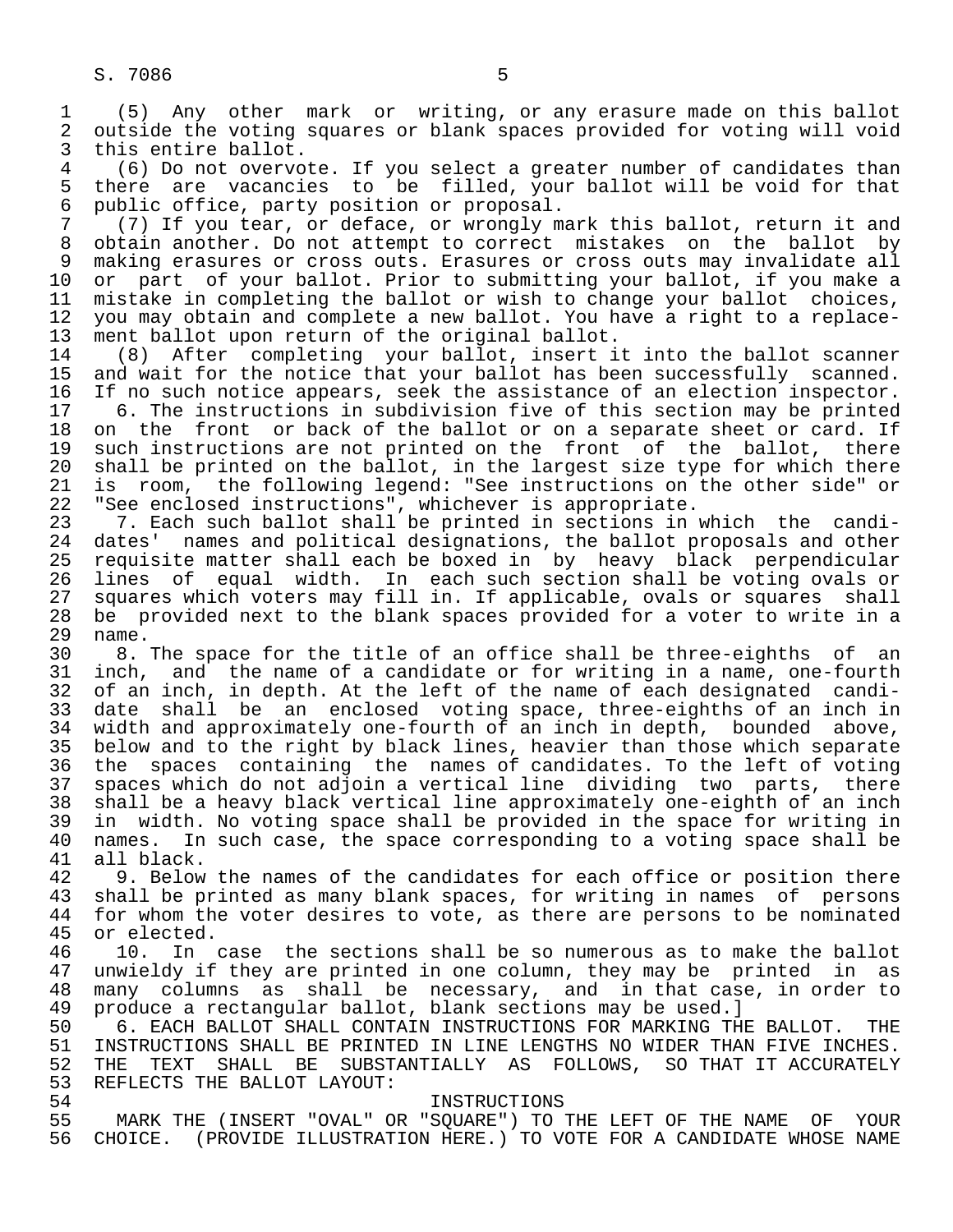1 (5) Any other mark or writing, or any erasure made on this ballot 2 outside the voting squares or blank spaces provided for voting will void<br>3 this entire ballot.

3 this entire ballot.<br>4 (6) Do not overvo 4 (6) Do not overvote. If you select a greater number of candidates than 5 there are vacancies to be filled, your ballot will be void for that<br>6 public office, party position or proposal. 6 public office, party position or proposal.<br>7 (7) If you tear, or deface, or wrongly m

 7 (7) If you tear, or deface, or wrongly mark this ballot, return it and 8 obtain another. Do not attempt to correct mistakes on the ballot by<br>9 making erasures or cross outs. Erasures or cross outs may invalidate all 9 making erasures or cross outs. Erasures or cross outs may invalidate all<br>10 or part of your ballot. Prior to submitting your ballot, if you make a 10 or part of your ballot. Prior to submitting your ballot, if you make a<br>11 mistake in completing the ballot or wish to change your ballot choices. 11 mistake in completing the ballot or wish to change your ballot choices,<br>12 you may obtain and complete a new ballot. You have a right to a replace-12 you may obtain and complete a new ballot. You have a right to a replace-<br>13 ment ballot upon return of the original ballot. 13 ment ballot upon return of the original ballot.<br>14 (8) After completing your ballot, insert i

14 (8) After completing your ballot, insert it into the ballot scanner<br>15 and wait for the notice that your ballot has been successfully scanned. 15 and wait for the notice that your ballot has been successfully scanned.<br>16 If no such notice appears, seek the assistance of an election inspector. 16 If no such notice appears, seek the assistance of an election inspector.<br>17 6. The instructions in subdivision five of this section may be printed

17 6. The instructions in subdivision five of this section may be printed<br>18 on the front or back of the ballot or on a separate sheet or card. If 18 on the front or back of the ballot or on a separate sheet or card. If<br>19 such instructions are not printed on the front of the ballot, there 19 such instructions are not printed on the front of the ballot, there<br>20 shall be printed on the ballot, in the largest size type for which there 20 shall be printed on the ballot, in the largest size type for which there 21 is room, the following legend: "See instructions on the other side" or 22 "See enclosed instructions", whichever is appropriate.<br>23 17. Each such ballot shall be printed in sections in

23 2. Each such ballot shall be printed in sections in which the candi-<br>24 dates' names and political designations, the ballot proposals and other 24 dates' names and political designations, the ballot proposals and other<br>25 requisite matter shall each be boxed in by heavy black perpendicular 25 requisite matter shall each be boxed in by heavy black perpendicular 26 lines of equal width. In each such section shall be voting ovals or<br>27 squares which voters may fill in. If applicable, ovals or squares shall 27 squares which voters may fill in. If applicable, ovals or squares shall<br>28 be provided next to the blank spaces provided for a voter to write in a 28 be provided next to the blank spaces provided for a voter to write in a

29 name.<br>30 8. 30 8. The space for the title of an office shall be three-eighths of an<br>31 inch, and the name of a candidate or for writing in a name, one-fourth 31 inch, and the name of a candidate or for writing in a name, one-fourth<br>32 of an inch, in depth. At the left of the name of each designated candi-32 of an inch, in depth. At the left of the name of each designated candi-<br>33 date shall be an enclosed voting space, three-eighths of an inch in 33 date shall be an enclosed voting space, three-eighths of an inch in<br>34 width and approximately one-fourth of an inch in depth, bounded above, 34 width and approximately one-fourth of an inch in depth, bounded above,<br>35 below and to the right by black lines, heavier than those which separate 35 below and to the right by black lines, heavier than those which separate<br>36 the spaces containing the names of candidates. To the left of voting the spaces containing the names of candidates. To the left of voting 37 spaces which do not adjoin a vertical line dividing two parts, there 38 shall be a heavy black vertical line approximately one-eighth of an inch<br>39 in width. No voting space shall be provided in the space for writing in 39 in width. No voting space shall be provided in the space for writing in<br>40 names. In such case, the space corresponding to a voting space shall be 40 names. In such case, the space corresponding to a voting space shall be 41 all black.

41 all black.<br>42 9. Below 42 9. Below the names of the candidates for each office or position there<br>43 shall be printed as many blank spaces, for writing in names of persons 43 shall be printed as many blank spaces, for writing in names of persons<br>44 for whom the voter desires to vote, as there are persons to be nominated 44 for whom the voter desires to vote, as there are persons to be nominated 45 or elected. 45 or elected.<br>46 10. In

46 10. In case the sections shall be so numerous as to make the ballot<br>47 unwieldy if they are printed in one column, they may be printed in as 47 unwieldy if they are printed in one column, they may be printed in as<br>48 many columns as shall be necessary, and in that case, in order to 48 many columns as shall be necessary, and in that case, in order to<br>49 produce a rectangular ballot, blank sections may be used.] 49 produce a rectangular ballot, blank sections may be used.]<br>50 6. EACH BALLOT SHALL CONTAIN INSTRUCTIONS FOR MARKING TH

50 6. EACH BALLOT SHALL CONTAIN INSTRUCTIONS FOR MARKING THE BALLOT. THE 51 INSTRUCTIONS SHALL BE PRINTED IN LINE LENGTHS NO WIDER THAN FIVE INCHES. 51 INSTRUCTIONS SHALL BE PRINTED IN LINE LENGTHS NO WIDER THAN FIVE INCHES.<br>52 THE TEXT SHALL BE SUBSTANTIALLY AS FOLLOWS, SO THAT IT ACCURATELY 52 THE TEXT SHALL BE SUBSTANTIALLY AS FOLLOWS, SO THAT IT ACCURATELY<br>53 REFLECTS THE BALLOT LAYOUT: 53 REFLECTS THE BALLOT LAYOUT:<br>54

 54 INSTRUCTIONS 55 MARK THE (INSERT "OVAL" OR "SQUARE") TO THE LEFT OF THE NAME OF YOUR<br>56 CHOICE. (PROVIDE ILLUSTRATION HERE.) TO VOTE FOR A CANDIDATE WHOSE NAME 56 CHOICE. (PROVIDE ILLUSTRATION HERE.) TO VOTE FOR A CANDIDATE WHOSE NAME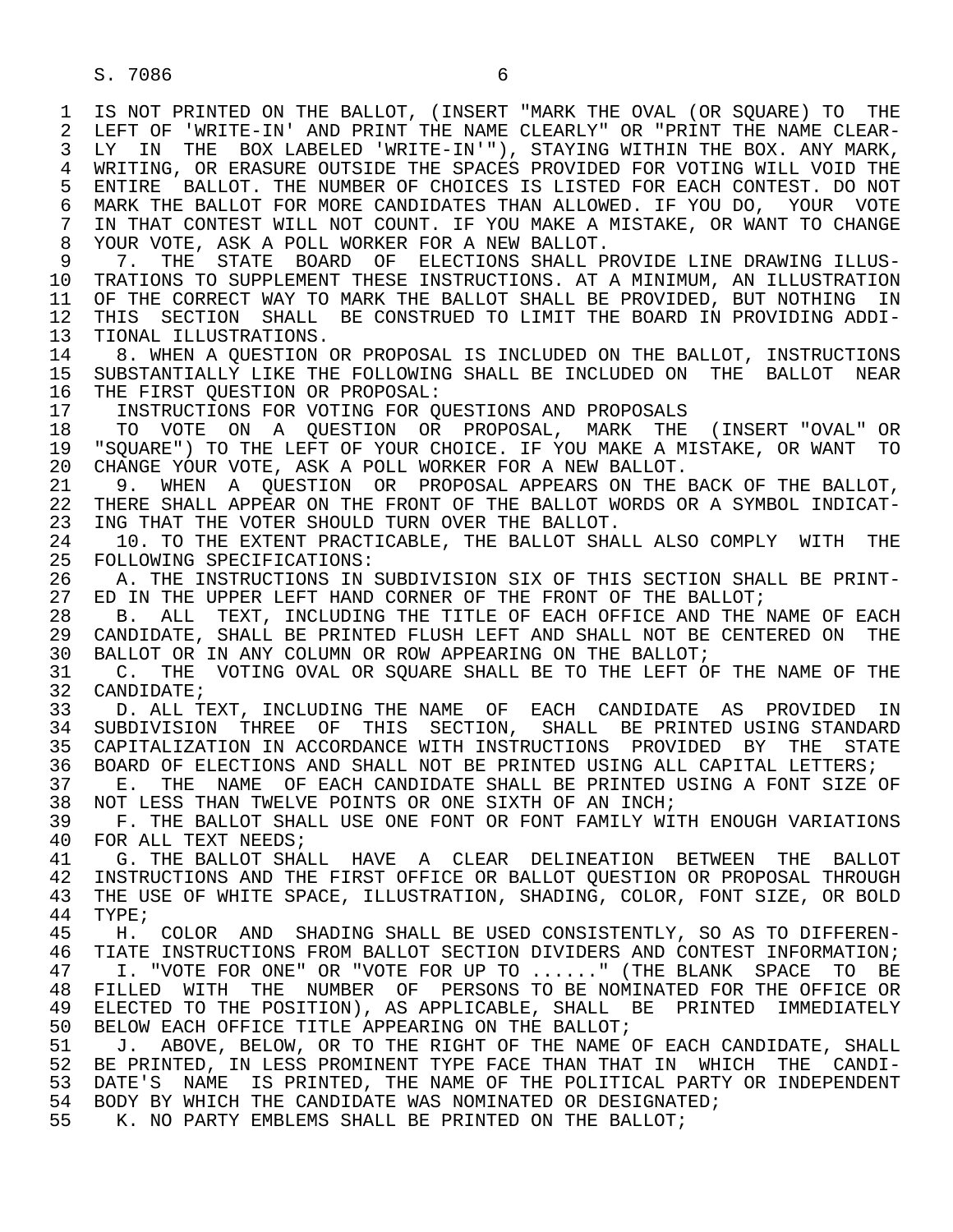1 IS NOT PRINTED ON THE BALLOT, (INSERT "MARK THE OVAL (OR SQUARE) TO THE 12 LEFT OF 'WRITE-IN' AND PRINT THE NAME CLEAR-2 LEFT OF 'WRITE-IN' AND PRINT THE NAME CLEARLY" OR "PRINT THE NAME CLEAR-<br>3 LY IN THE BOX LABELED 'WRITE-IN'"), STAYING WITHIN THE BOX, ANY MARK, LY IN THE BOX LABELED 'WRITE-IN'"), STAYING WITHIN THE BOX. ANY MARK, 4 WRITING, OR ERASURE OUTSIDE THE SPACES PROVIDED FOR VOTING WILL VOID THE 41 MOT SALLOT, THE NUMBER OF CHOICES IS LISTED FOR EACH CONTEST, DO NOT 5 ENTIRE BALLOT. THE NUMBER OF CHOICES IS LISTED FOR EACH CONTEST. DO NOT<br>6 MARK THE BALLOT FOR MORE CANDIDATES THAN ALLOWED. IF YOU DO. YOUR VOTE 6 MARK THE BALLOT FOR MORE CANDIDATES THAN ALLOWED. IF YOU DO, YOUR VOTE<br>7 IN THAT CONTEST WILL NOT COUNT. IF YOU MAKE A MISTAKE, OR WANT TO CHANGE IN THAT CONTEST WILL NOT COUNT. IF YOU MAKE A MISTAKE, OR WANT TO CHANGE 8 YOUR VOTE, ASK A POLL WORKER FOR A NEW BALLOT.<br>9 7. THE STATE BOARD OF ELECTIONS SHALL P

9 7. THE STATE BOARD OF ELECTIONS SHALL PROVIDE LINE DRAWING ILLUS-<br>10 TRATIONS TO SUPPLEMENT THESE INSTRUCTIONS. AT A MINIMUM, AN ILLUSTRATION 10 TRATIONS TO SUPPLEMENT THESE INSTRUCTIONS. AT A MINIMUM, AN ILLUSTRATION<br>11 OF THE CORRECT WAY TO MARK THE BALLOT SHALL BE PROVIDED. BUT NOTHING IN 11 OF THE CORRECT WAY TO MARK THE BALLOT SHALL BE PROVIDED, BUT NOTHING IN<br>12 THIS SECTION SHALL BE CONSTRUED TO LIMIT THE BOARD IN PROVIDING ADDI-THIS SECTION SHALL BE CONSTRUED TO LIMIT THE BOARD IN PROVIDING ADDI-13 TIONAL ILLUSTRATIONS.<br>14 8. WHEN A OUESTION

 14 8. WHEN A QUESTION OR PROPOSAL IS INCLUDED ON THE BALLOT, INSTRUCTIONS 15 SUBSTANTIALLY LIKE THE FOLLOWING SHALL BE INCLUDED ON THE BALLOT NEAR<br>16 THE FIRST OUESTION OR PROPOSAL: 16 THE FIRST QUESTION OR PROPOSAL:<br>17 INSTRUCTIONS FOR VOTING FOR O

17 INSTRUCTIONS FOR VOTING FOR QUESTIONS AND PROPOSALS<br>18 TO VOTE ON A OUESTION OR PROPOSAL, MARK THE

 18 TO VOTE ON A QUESTION OR PROPOSAL, MARK THE (INSERT "OVAL" OR 19 "SQUARE") TO THE LEFT OF YOUR CHOICE. IF YOU MAKE A MISTAKE, OR WANT TO 20 CHANGE YOUR VOTE. ASK A POLL WORKER FOR A NEW BALLOT. 20 CHANGE YOUR VOTE, ASK A POLL WORKER FOR A NEW BALLOT.<br>21 9. WHEN A OUESTION OR PROPOSAL APPEARS ON THE

21 9. WHEN A QUESTION OR PROPOSAL APPEARS ON THE BACK OF THE BALLOT,<br>22 THERE SHALL APPEAR ON THE FRONT OF THE BALLOT WORDS OR A SYMBOL INDICAT-22 THERE SHALL APPEAR ON THE FRONT OF THE BALLOT WORDS OR A SYMBOL INDICAT-<br>23 ING THAT THE VOTER SHOULD TURN OVER THE BALLOT. 23 ING THAT THE VOTER SHOULD TURN OVER THE BALLOT.<br>24 10. TO THE EXTENT PRACTICABLE, THE BALLOT SHA

24 10. TO THE EXTENT PRACTICABLE, THE BALLOT SHALL ALSO COMPLY WITH THE 25 FOLLOWING SPECIFICATIONS: 25 FOLLOWING SPECIFICATIONS:

26 A. THE INSTRUCTIONS IN SUBDIVISION SIX OF THIS SECTION SHALL BE PRINT-<br>27 ED IN THE UPPER LEFT HAND CORNER OF THE FRONT OF THE BALLOT; 27 ED IN THE UPPER LEFT HAND CORNER OF THE FRONT OF THE BALLOT;<br>28 B. ALL TEXT, INCLUDING THE TITLE OF EACH OFFICE AND THE

28 B. ALL TEXT, INCLUDING THE TITLE OF EACH OFFICE AND THE NAME OF EACH<br>29 CANDIDATE, SHALL BE PRINTED FLUSH LEFT AND SHALL NOT BE CENTERED ON THE 29 CANDIDATE, SHALL BE PRINTED FLUSH LEFT AND SHALL NOT BE CENTERED ON THE 30 BALLOT OR IN ANY COLUMN OR ROW APPEARING ON THE BALLOT . 30 BALLOT OR IN ANY COLUMN OR ROW APPEARING ON THE BALLOT;<br>31 C. THE VOTING OVAL OR SOUARE SHALL BE TO THE LEFT OF

31 C. THE VOTING OVAL OR SQUARE SHALL BE TO THE LEFT OF THE NAME OF THE 32 CANDIDATE; 32 CANDIDATE;<br>33 D. ALL TI

33 D. ALL TEXT, INCLUDING THE NAME OF EACH CANDIDATE AS PROVIDED IN<br>34 SUBDIVISION THREE OF THIS SECTION, SHALL BE PRINTED USING STANDARD 34 SUBDIVISION THREE OF THIS SECTION, SHALL BE-PRINTED-USING-STANDARD<br>35 CAPITALIZATION IN-ACCORDANCE-WITH-INSTRUCTIONS PROVIDED BY THE STATE 35 CAPITALIZATION IN ACCORDANCE WITH INSTRUCTIONS PROVIDED BY THE STATE<br>36 BOARD OF ELECTIONS AND SHALL NOT BE PRINTED USING ALL CAPITAL LETTERS; 36 BOARD OF ELECTIONS AND SHALL NOT BE PRINTED USING ALL CAPITAL LETTERS;

37 E. THE NAME OF EACH CANDIDATE SHALL BE PRINTED USING A FONT SIZE OF 38 NOT LESS THAN TWELVE POINTS OR ONE SIXTH OF AN INCH; 38 NOT LESS THAN TWELVE POINTS OR ONE SIXTH OF AN INCH;<br>39 F. THE BALLOT SHALL USE ONE FONT OR FONT FAMILY WI

39 F. THE BALLOT SHALL USE ONE FONT OR FONT FAMILY WITH ENOUGH VARIATIONS<br>40 FOR ALL TEXT NEEDS; 40 FOR ALL TEXT NEEDS;<br>41 G. THE BALLOT SHA

41 G. THE BALLOT SHALL HAVE A CLEAR DELINEATION BETWEEN THE BALLOT<br>42 INSTRUCTIONS AND THE FIRST OFFICE OR BALLOT OUESTION OR PROPOSAL THROUGH 42 INSTRUCTIONS AND THE FIRST OFFICE OR BALLOT QUESTION OR PROPOSAL THROUGH<br>43 THE USE OF WHITE SPACE, ILLUSTRATION, SHADING, COLOR, FONT SIZE, OR BOLD 43 THE USE OF WHITE SPACE, ILLUSTRATION, SHADING, COLOR, FONT SIZE, OR BOLD 44 TYPE;

44 TYPE;<br>45 H. 45 H. COLOR AND SHADING SHALL BE USED CONSISTENTLY, SO AS TO DIFFEREN- 46 TIATE INSTRUCTIONS FROM BALLOT SECTION DIVIDERS AND CONTEST INFORMATION;<br>47 I. "VOTE FOR ONE" OR "VOTE FOR UP TO ......" (THE BLANK SPACE TO BE I. "VOTE FOR ONE" OR "VOTE FOR UP TO ......" (THE BLANK SPACE TO BE 48 FILLED WITH THE NUMBER OF PERSONS TO BE NOMINATED FOR THE OFFICE OR<br>49 ELECTED TO THE POSITION), AS APPLICABLE, SHALL BE PRINTED IMMEDIATELY 49 ELECTED TO THE POSITION), AS APPLICABLE, SHALL BE PRINTED IMMEDIATELY<br>50 BELOW EACH OFFICE TITLE APPEARING ON THE BALLOT; 50 BELOW EACH OFFICE TITLE APPEARING ON THE BALLOT;<br>51 J. ABOVE, BELOW, OR TO THE RIGHT OF THE NAME

51 J. ABOVE, BELOW, OR TO THE RIGHT OF THE NAME OF EACH CANDIDATE, SHALL<br>52 BE PRINTED, IN LESS PROMINENT TYPE FACE THAN THAT IN WHICH THE CANDI-52 BE PRINTED, IN LESS PROMINENT TYPE FACE THAN THAT IN WHICH THE CANDI-<br>53 DATE'S NAME IS PRINTED. THE NAME OF THE POLITICAL PARTY OR INDEPENDENT 53 DATE'S NAME IS PRINTED, THE NAME OF THE POLITICAL PARTY OR INDEPENDENT<br>54 BODY BY WHICH THE CANDIDATE WAS NOMINATED OR DESIGNATED; BODY BY WHICH THE CANDIDATE WAS NOMINATED OR DESIGNATED; 55 K. NO PARTY EMBLEMS SHALL BE PRINTED ON THE BALLOT;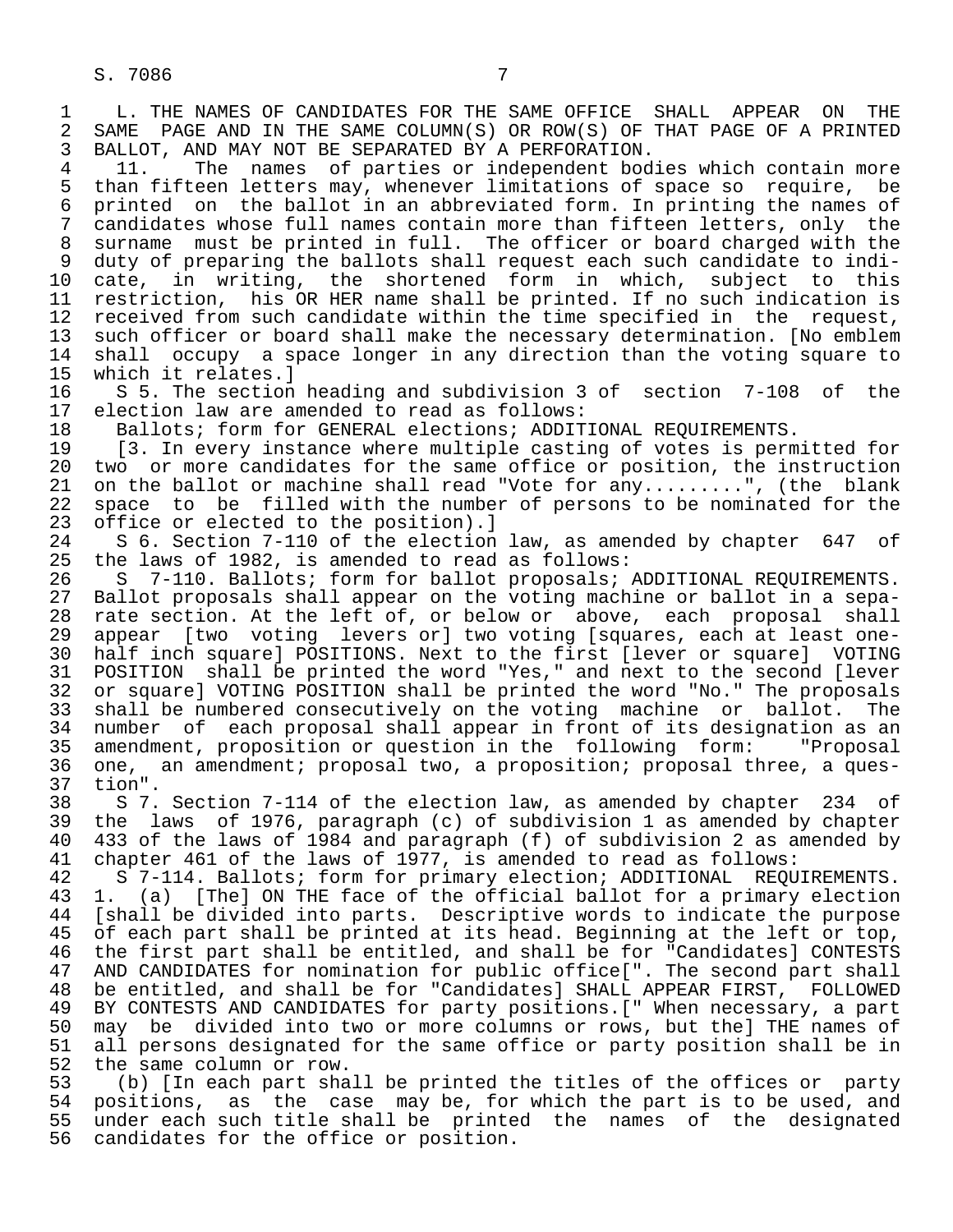1 L. THE NAMES OF CANDIDATES FOR THE SAME OFFICE SHALL APPEAR ON THE 2 SAME PAGE AND IN THE SAME COLUMN(S) OR ROW(S) OF THAT PAGE OF A PRINTED 2 SAME PAGE AND IN THE SAME COLUMN(S) OR ROW(S) OF THAT PAGE OF A PRINTED<br>3 BALLOT, AND MAY NOT BE SEPARATED BY A PERFORATION. 3 BALLOT, AND MAY NOT BE SEPARATED BY A PERFORATION.<br>4 11. The names of parties or independent bod

4 11. The names of parties or independent bodies which contain more<br>5 than fifteen letters may, whenever limitations of space so require, be 5 than fifteen letters may, whenever limitations of space so require, be<br>6 printed on the ballot in an abbreviated form. In printing the names of 6 printed on the ballot in an abbreviated form. In printing the names of<br>7 candidates whose full names contain more than fifteen letters, only the candidates whose full names contain more than fifteen letters, only the 8 surname must be printed in full. The officer or board charged with the 9 duty of preparing the ballots shall request each such candidate to indi-<br>10 cate, in writing, the shortened form in which, subject to this 10 cate, in writing, the shortened form in which,<br>11 restriction, his OR HER name shall be printed. If no 11 restriction, his OR HER name shall be printed. If no such indication is<br>12 received from such candidate within the time specified in the request, 12 received from such candidate within the time specified in the request,<br>13 such officer or board shall make the necessary determination. [No emblem 13 such officer or board shall make the necessary determination. [No emblem<br>14 shall occupy a space longer in any direction than the voting square to 14 shall occupy a space longer in any direction than the voting square to<br>15 which it relates.] 15 which it relates.]<br>16 S 5. The section

16 S 5. The section heading and subdivision 3 of section 7-108 of the<br>17 election law are amended to read as follows: 17 election law are amended to read as follows:<br>18 Ballots; form for GENERAL elections; ADDIT

18 Ballots; form for GENERAL elections; ADDITIONAL REQUIREMENTS.<br>19 [3. In every instance where multiple casting of votes is perm

19 [3. In every instance where multiple casting of votes is permitted for<br>20 two or more candidates for the same office or position, the instruction 20 two or more candidates for the same office or position, the instruction<br>21 on the ballot or machine shall read "Vote for any.........", (the blank 21 on the ballot or machine shall read "Vote for any.........", (the blank<br>22 space to be filled with the number of persons to be nominated for the 22 space to be filled with the number of persons to be nominated for the 23 office or elected to the position).] 23 office or elected to the position).]<br>24 S 6. Section 7-110 of the election

24 S 6. Section 7-110 of the election law, as amended by chapter 647 of<br>25 the laws of 1982, is amended to read as follows: the laws of 1982, is amended to read as follows:

26 S 7-110. Ballots; form for ballot proposals; ADDITIONAL REQUIREMENTS.<br>27 Ballot proposals shall appear on the voting machine or ballot in a sepa-27 Ballot proposals shall appear on the voting machine or ballot in a sepa-<br>28 rate section. At the left of, or below or above, each proposal shall 28 rate section. At the left of, or below or above, each proposal shall<br>29 appear [two voting levers or] two voting [squares, each at least one-29 appear [two voting levers or] two voting [squares, each at least one-<br>20 half inch squarel POSITIONS. Next to the first [lever or square] VOTING 30 half inch square] POSITIONS. Next to the first [lever or square] VOTING<br>31 POSITION shall be printed the word "Yes." and next to the second [lever 31 POSITION shall be printed the word "Yes," and next to the second [lever<br>32 or square] VOTING POSITION shall be printed the word "No." The proposals 32 or square] VOTING POSITION shall be printed the word "No." The proposals<br>33 shall be numbered consecutively on the voting machine or ballot. The 33 shall be numbered consecutively on the voting machine or ballot. The<br>34 number of each proposal shall appear in front of its designation as an 34 number of each proposal shall appear in front of its designation as an<br>35 amendment, proposition or question in the following form: "Proposal 35 amendment, proposition or question in the following form: "Proposal<br>36 one, an amendment; proposal two, a proposition; proposal three, a quesone, an amendment; proposal two, a proposition; proposal three, a ques-37 tion".

 38 S 7. Section 7-114 of the election law, as amended by chapter 234 of 39 the laws of 1976, paragraph (c) of subdivision 1 as amended by chapter 40 433 of the laws of 1984 and paragraph (f) of subdivision 2 as amended by<br>41 chapter 461 of the laws of 1977, is amended to read as follows: 41 chapter 461 of the laws of 1977, is amended to read as follows:<br>42 S 7-114. Ballots; form for primary election; ADDITIONAL REOU

42 S 7-114. Ballots; form for primary election; ADDITIONAL REQUIREMENTS.<br>43 1. (a) [The] ON THE face of the official ballot for a primary election 43 1. (a) [The] ON THE face of the official ballot for a primary election<br>44 [shall be divided into parts. Descriptive words to indicate the purpose 44 [shall be divided into parts. Descriptive words to indicate the purpose<br>45 of each part shall be printed at its head. Beginning at the left or top, of each part shall be printed at its head. Beginning at the left or top, 46 the first part shall be entitled, and shall be for "Candidates] CONTESTS<br>47 AND CANDIDATES for nomination for public office[". The second part shall AND CANDIDATES for nomination for public office[". The second part shall 48 be entitled, and shall be for "Candidates] SHALL APPEAR FIRST, FOLLOWED<br>49 BY CONTESTS AND CANDIDATES for party positions.[" When necessary, a part 49 BY CONTESTS AND CANDIDATES for party positions. [" When necessary, a part<br>50 may be divided into two or more columns or rows, but thel THE names of 50 may be divided into two or more columns or rows, but the] THE names of<br>51 all persons designated for the same office or party position shall be in 51 all persons designated for the same office or party position shall be in<br>52 the same column or row. 52 the same column or row.<br>53 (b) [In each part sha

53 (b) [In each part shall be printed the titles of the offices or party<br>54 positions, as the case may be, for which the part is to be used, and 54 positions, as the case may be, for which the part is to be used, and<br>55 under each such title shall be printed the names of the designated 55 under each such title shall be printed the names of the designated<br>56 candidates for the office or position. candidates for the office or position.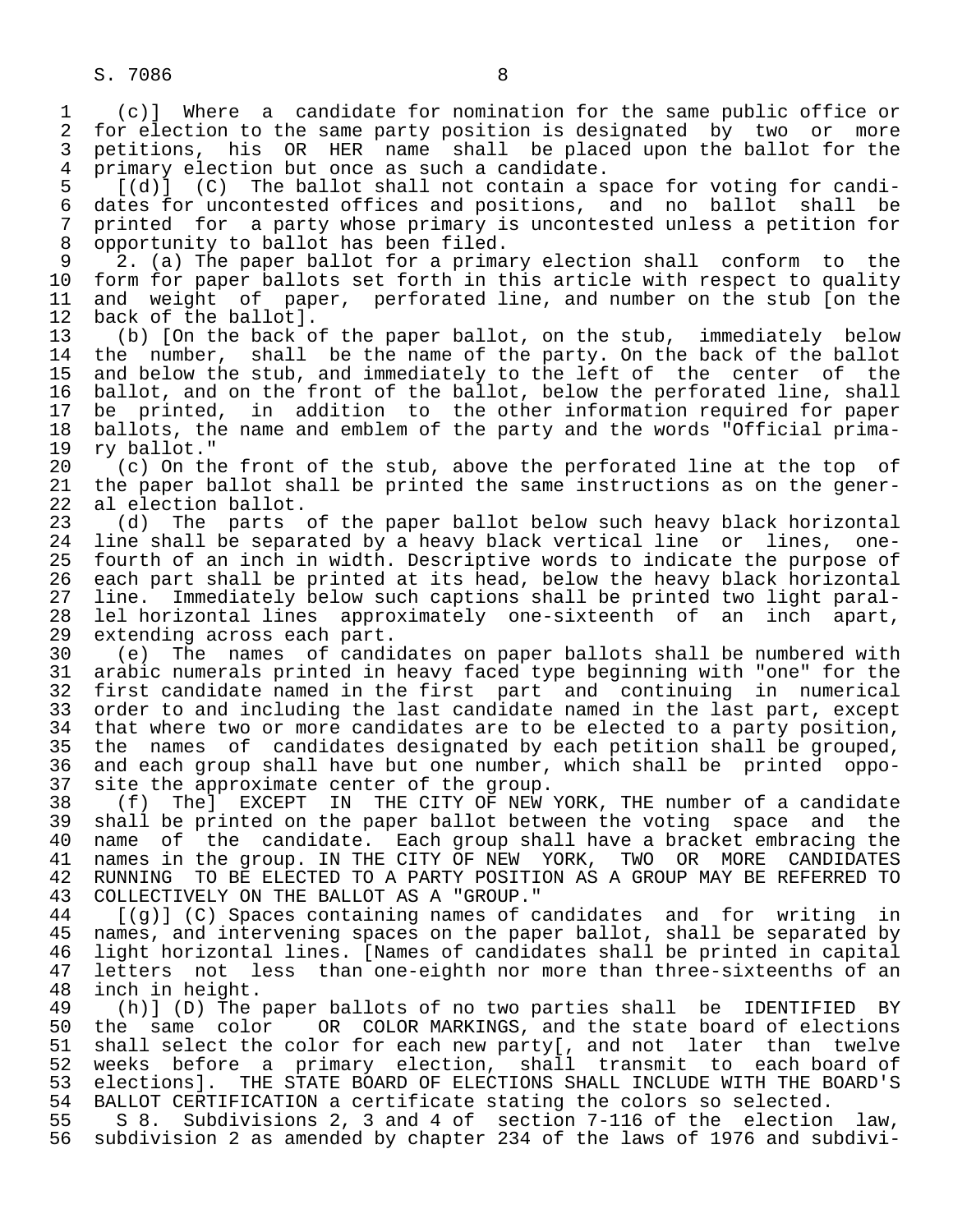1 (c)] Where a candidate for nomination for the same public office or<br>2 for election to the same party position is designated by two or more 2 for election to the same party position is designated by two or more<br>3 petitions, his OR HER name shall be placed upon the ballot for the 3 petitions, his OR HER name shall be placed upon the ballot for the 4 primary election but once as such a candidate. 4 primary election but once as such a candidate.<br>5 [(d)] (C) The ballot shall not contain a s

 $\begin{bmatrix} 5 & 0 \end{bmatrix}$  (C) The ballot shall not contain a space for voting for candi-<br>6 dates for uncontested offices and positions, and no ballot shall be 6 dates for uncontested offices and positions, and no ballot shall be<br>7 printed for a party whose primary is uncontested unless a petition for 7 printed for a party whose primary is uncontested unless a petition for<br>8 opportunity to ballot has been filed. 8 opportunity to ballot has been filed.<br>9 2. (a) The paper ballot for a prima

9 2. (a) The paper ballot for a primary election shall conform to the<br>10 form for paper ballots set forth in this article with respect to quality 10 form for paper ballots set forth in this article with respect to quality<br>11 and weight of paper, perforated line, and number on the stub [on the 11 and weight of paper, perforated line, and number on the stub [on the 12 back of the ballot]. 12 back of the ballot].<br>13 (b) [On the back o

 13 (b) [On the back of the paper ballot, on the stub, immediately below the number, shall be the name of the party. On the back of the ballot 15 and below the stub, and immediately to the left of the center of the<br>16 ballot, and on the front of the ballot, below the perforated line, shall 16 ballot, and on the front of the ballot, below the perforated line, shall<br>17 be printed, in addition to the other information required for paper 17 be printed, in addition to the other information required for paper<br>18 ballots, the name and emblem of the party and the words "Official prima-18 ballots, the name and emblem of the party and the words "Official prima-<br>19 ry ballot." 19 ry ballot."<br>20 (c) On th

20 (c) On the front of the stub, above the perforated line at the top of 21 the paper ballot shall be printed the same instructions as on the gener-21 the paper ballot shall be printed the same instructions as on the gener-<br>22 al election ballot. 22 al election ballot.<br>23 (d) The parts

23 (d) The parts of the paper ballot below such heavy black horizontal<br>24 line shall be separated by a heavy black vertical line or lines, one- 24 line shall be separated by a heavy black vertical line or lines, one fourth of an inch in width. Descriptive words to indicate the purpose of 26 each part shall be printed at its head, below the heavy black horizontal<br>27 line. Immediately below such captions shall be printed two light paral-27 line. Immediately below such captions shall be printed two light paral-<br>28 lel horizontal lines approximately one-sixteenth of an inch apart, 28 lel horizontal lines approximately one-sixteenth of an inch apart,<br>29 extending across each part. 29 extending across each part.<br>30 (e) The names of candi

 30 (e) The names of candidates on paper ballots shall be numbered with 31 arabic numerals printed in heavy faced type beginning with "one" for the<br>32 first candidate named in the first part and continuing in numerical 32 first candidate named in the first part and continuing in numerical<br>33 order to and including the last candidate named in the last part, except 33 order to and including the last candidate named in the last part, except<br>34 that where two or more candidates are to be elected to a party position, 34 that where two or more candidates are to be elected to a party position,<br>35 the names of candidates designated by each petition shall be grouped. 35 the names of candidates designated by each petition shall be grouped,<br>36 and each group shall have but one number, which shall be printed oppoand each group shall have but one number, which shall be printed oppo-

37 site the approximate center of the group.<br>38 (f) The] EXCEPT IN THE CITY OF NEW 38 (f) The] EXCEPT IN THE CITY OF NEW YORK, THE number of a candidate<br>39 shall be printed on the paper ballot between the voting space and the 39 shall be printed on the paper ballot between the voting space and the<br>40 name of the candidate. Each group shall have a bracket embracing the 40 name of the candidate. Each group shall have a bracket embracing the 41 names in the group. IN THE CITY OF NEW YORK, TWO OR MORE CANDIDATES 41 names in the group. IN THE CITY OF NEW YORK, TWO OR MORE CANDIDATES<br>42 RUNNING TO BE ELECTED TO A PARTY POSITION AS A GROUP MAY BE REFERRED TO 42 RUNNING TO BE ELECTED TO A PARTY POSITION AS A GROUP MAY BE REFERRED TO 43 COLLECTIVELY ON THE BALLOT AS A "GROUP." 43 COLLECTIVELY ON THE BALLOT AS A "GROUP."<br>44 [(q)] (C) Spaces containing names of c

44 [(g)] (C) Spaces containing names of candidates and for writing in<br>45 names, and intervening spaces on the paper ballot, shall be separated by names, and intervening spaces on the paper ballot, shall be separated by 46 light horizontal lines. [Names of candidates shall be printed in capital<br>47 letters not less than one-eighth nor more than three-sixteenths of an 47 letters not less than one-eighth nor more than three-sixteenths of an 48 inch in height. 48 inch in height.<br>49 (h)] (D) The

49 (h)] (D) The paper ballots of no two parties shall be IDENTIFIED BY<br>50 the same color 0R COLOR MARKINGS, and the state board of elections 50 the same color OR COLOR MARKINGS, and the state board of elections<br>51 shall select the color for each new party[, and not later than twelve 51 shall select the color for each new party[, and not later than twelve<br>52 weeks before a primary election, shall transmit to each board of 52 weeks before a primary election, shall transmit to each board of<br>53 elections]. THE STATE BOARD OF ELECTIONS SHALL INCLUDE WITH THE BOARD'S 53 elections]. THE STATE BOARD OF ELECTIONS SHALL INCLUDE WITH THE BOARD'S<br>54 BALLOT CERTIFICATION a certificate stating the colors so selected.

54 BALLOT CERTIFICATION a certificate stating the colors so selected.<br>55 S 8. Subdivisions 2, 3 and 4 of section 7-116 of the election 55 S 8. Subdivisions 2, 3 and 4 of section 7-116 of the election law,<br>56 subdivision 2 as amended by chapter 234 of the laws of 1976 and subdivisubdivision 2 as amended by chapter 234 of the laws of 1976 and subdivi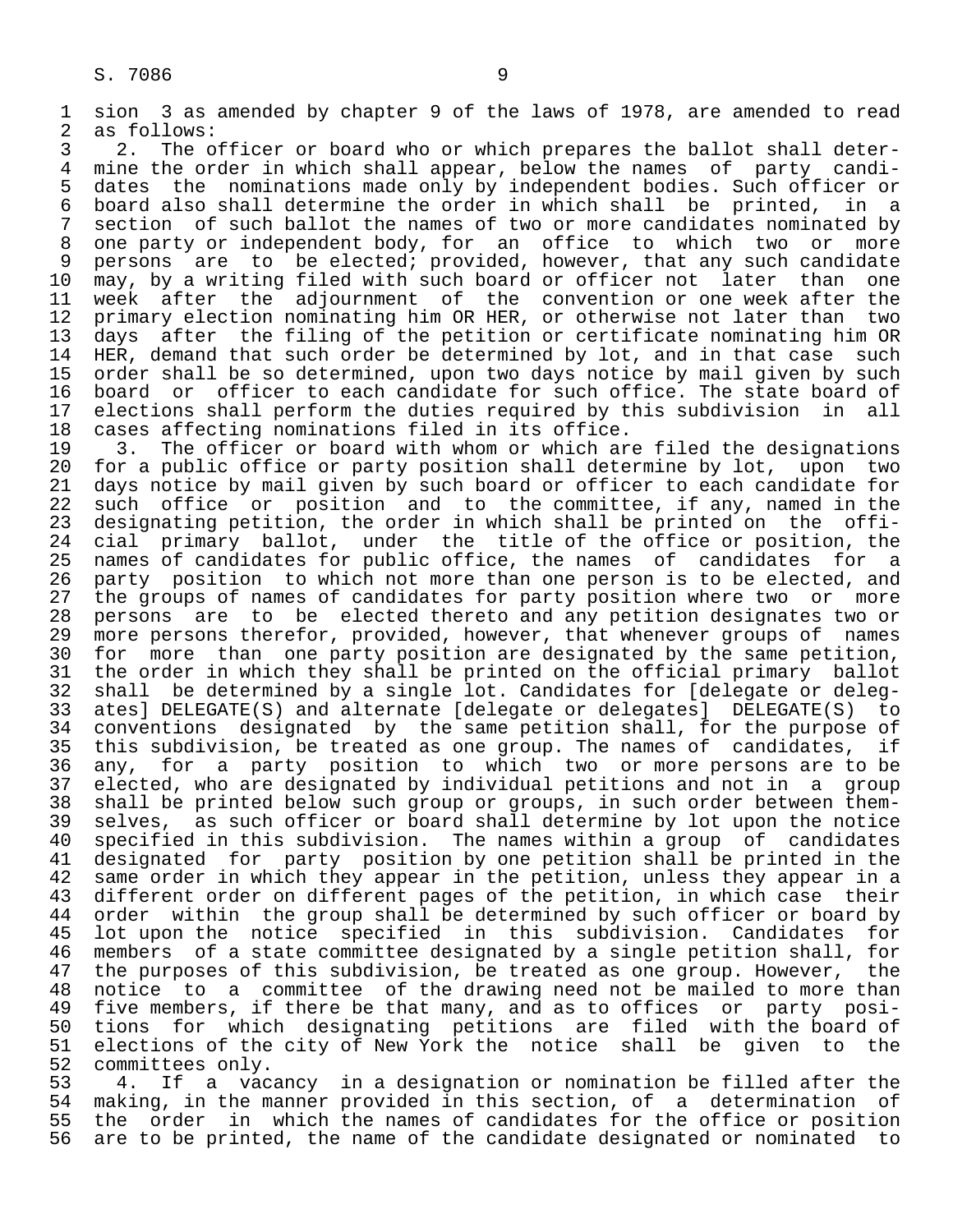1 sion 3 as amended by chapter 9 of the laws of 1978, are amended to read 2 as follows:<br>3 2. The o

3 2. The officer or board who or which prepares the ballot shall deter-<br>4 mine the order in which shall appear, below the names of party candi-4 mine the order in which shall appear, below the names of party candi-<br>5 dates the nominations made only by independent bodies. Such officer or 5 dates the nominations made only by independent bodies. Such officer or<br>6 board also shall determine the order in which shall be printed, in a 6 board also shall determine the order in which shall be printed, in a<br>7 section of such ballot the names of two or more candidates nominated by 7 section of such ballot the names of two or more candidates nominated by<br>8 one party or independent body, for an office to which two or more 8 one party or independent body, for an office to which two or more<br>9 persons are to be elected; provided, however, that any such candidate 9 persons are to be elected; provided, however, that any such candidate<br>10 may, by a writing filed with such board or officer not later than one 10 may, by a writing filed with such board or officer not later than one<br>11 week after the adjournment of the convention or one week after the 11 week after the adjournment of the convention or one week after the<br>12 primary election nominating him OR HER, or otherwise not later than two 12 primary election nominating him OR HER, or otherwise not later than two<br>13 days after the filing of the petition or certificate nominating him OR 13 days after the filing of the petition or certificate nominating him OR<br>14 HER, demand that such order be determined by lot, and in that case such HER, demand that such order be determined by lot, and in that case such 15 order shall be so determined, upon two days notice by mail given by such<br>16 board or officer to each candidate for such office. The state board of 16 board or officer to each candidate for such office. The state board of<br>17 elections shall perform the duties required by this subdivision in all 17 elections shall perform the duties required by this subdivision in all<br>18 cases affecting nominations filed in its office.

18 cases affecting nominations filed in its office.<br>19 3. The officer or board with whom or which ar 19 3. The officer or board with whom or which are filed the designations<br>20 for a public office or party position shall determine by lot, upon two 20 for a public office or party position shall determine by lot, upon two<br>21 days notice by mail given by such board or officer to each candidate for 21 days notice by mail given by such board or officer to each candidate for<br>22 such office or position and to the committee, if any, named in the 22 such office or position and to the committee, if any, named in the<br>23 designating petition, the order in which shall be printed on the offi-23 designating petition, the order in which shall be printed on the offi-<br>24 cial primary ballot, under the title of the office or position, the 24 cial primary ballot, under the title of the office or position, the<br>25 names of candidates for public office, the names of candidates for a names of candidates for public office, the names of candidates for a 26 party position to which not more than one person is to be elected, and<br>27 the groups of names of candidates for party position where two or more 27 the groups of names of candidates for party position where two or more<br>28 persons are to be elected thereto and any petition designates two or 28 persons are to be elected thereto and any petition designates two or<br>29 more persons therefor, provided, however, that whenever groups of names 29 more persons therefor, provided, however, that whenever groups of names<br>20 for more than one party position are designated by the same petition, 30 for more than one party position are designated by the same petition,<br>31 the order in which they shall be printed on the official primary ballot 31 the order in which they shall be printed on the official primary ballot<br>32 shall be determined by a single lot. Candidates for [delegate or deleg-32 shall be determined by a single lot. Candidates for [delegate or deleg-<br>33 ates] DELEGATE(S) and alternate [delegate or delegates] DELEGATE(S) to 33 ates] DELEGATE(S) and alternate [delegate or delegates] DELEGATE(S) to 34 conventions designated by the same petition shall, for the purpose of<br>35 this subdivision, be treated as one group. The names of candidates, if 35 this subdivision, be treated as one group. The names of candidates, if<br>36 any, for a party position to which two or more persons are to be any, for a party position to which two or more persons are to be 37 elected, who are designated by individual petitions and not in a group<br>38 shall be printed below such group or groups, in such order between them- 38 shall be printed below such group or groups, in such order between them- 39 selves, as such officer or board shall determine by lot upon the notice<br>40 specified in this subdivision. The names within a group of candidates 40 specified in this subdivision. The names within a group of candidates<br>41 designated for party position by one petition shall be printed in the 41 designated for party position by one petition shall be printed in the<br>42 same order in which they appear in the petition, unless they appear in a 42 same order in which they appear in the petition, unless they appear in a<br>43 different order on different pages of the petition, in which case their 43 different order on different pages of the petition, in which case their<br>44 order within the group shall be determined by such officer or board by 44 order within the group shall be determined by such officer or board by<br>45 lot upon the notice specified in this subdivision. Candidates for lot upon the notice specified in this subdivision. Candidates for 46 members of a state committee designated by a single petition shall, for<br>47 the purposes of this subdivision, be treated as one group, However, the 47 the purposes of this subdivision, be treated as one group. However, the<br>48 notice to a committee of the drawing need not be mailed to more than 48 notice to a committee of the drawing need not be mailed to more than<br>49 five members, if there be that many, and as to offices or party posi-49 five members, if there be that many, and as to offices or party posi-<br>50 tions for which designating petitions are filed with the board of 50 tions for which designating petitions are filed with the board of<br>51 elections of the city of New York the notice shall be given to the 51 elections of the city of New York the notice shall be given to the 52 committees only.

52 committees only.<br>53 4. If a vac 53 4. If a vacancy in a designation or nomination be filled after the 54 making, in the manner provided in this section, of a determination of<br>55 the order in which the names of candidates for the office or position 55 the order in which the names of candidates for the office or position<br>56 are to be printed, the name of the candidate designated or nominated to are to be printed, the name of the candidate designated or nominated to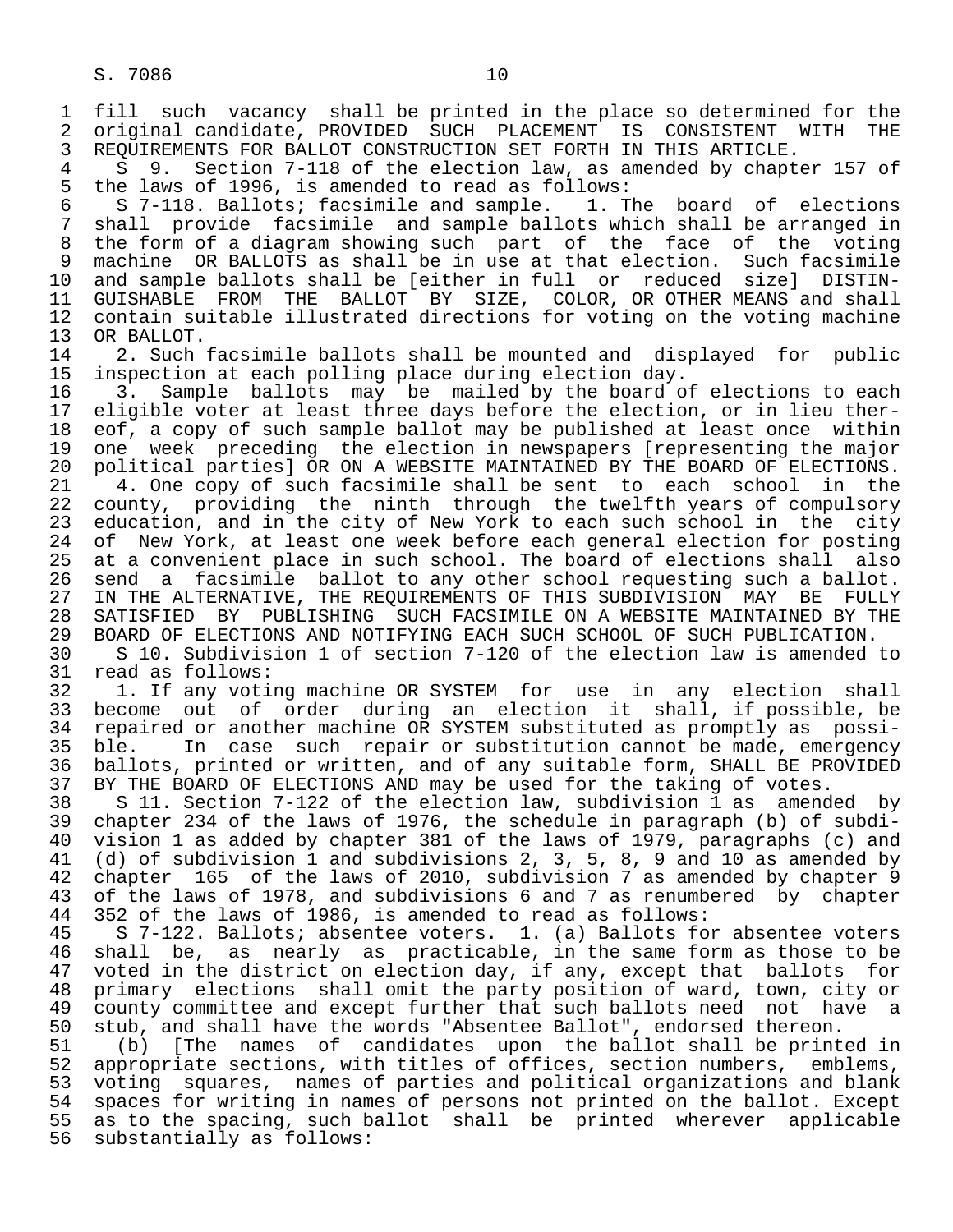1 fill such vacancy shall be printed in the place so determined for the 2 original candidate, PROVIDED SUCH PLACEMENT IS CONSISTENT WITH THE 3 REQUIREMENTS FOR BALLOT CONSTRUCTION SET FORTH IN THIS ARTICLE.<br>4 S 9. Section 7-118 of the election law, as amended by chapt

4 S 9. Section 7-118 of the election law, as amended by chapter 157 of<br>5 the laws of 1996, is amended to read as follows: 5 the laws of 1996, is amended to read as follows:<br>6 S 7-118. Ballots; facsimile and sample. 1. The board of elections

6 S 7-118. Ballots; facsimile and sample.<br>7. Shall provide facsimile and sample ball 7 shall provide facsimile and sample ballots which shall be arranged in<br>8 the form of a diagram showing such part of the face of the voting 8 the form of a diagram showing such part of the face of the voting<br>9 machine OR BALLOTS as shall be in use at that election. Such facsimile 9 machine OR BALLOTS as shall be in use at that election. Such facsimile<br>10 and sample ballots shall be [either in full or reduced size] DISTIN- 10 and sample ballots shall be [either in full or reduced size] DISTIN- 11 GUISHABLE FROM THE BALLOT BY SIZE, COLOR, OR OTHER MEANS and shall<br>12 contain suitable illustrated directions for voting on the voting machine 12 contain suitable illustrated directions for voting on the voting machine<br>13 OR BALLOT. 13 OR BALLOT.<br>14 2. Such

14 2. Such facsimile ballots shall be mounted and displayed for public<br>15 inspection at each polling place during election day. 15 inspection at each polling place during election day.<br>16 3. Sample ballots may be mailed by the board o

16 3. Sample ballots may be mailed by the board of elections to each<br>17 eligible voter at least three days before the election, or in lieu ther-17 eligible voter at least three days before the election, or in lieu ther-<br>18 eof, a copy of such sample ballot may be published at least once within 18 eof, a copy of such sample ballot may be published at least once within<br>19 one week preceding the election in newspapers [representing the major 19 one week preceding the election in newspapers [representing the major<br>20 political parties] OR ON A WEBSITE MAINTAINED BY THE BOARD OF ELECTIONS. 20 political parties] OR ON A WEBSITE MAINTAINED BY THE BOARD OF ELECTIONS.<br>21 – 4. One copy of such facsimile shall be sent to each school in the 21 4. One copy of such facsimile shall be sent to each school<br>22 county, providing the ninth through the twelfth years of co 22 county, providing the ninth through the twelfth years of compulsory<br>23 education, and in the city of New York to each such school in the city 23 education, and in the city of New York to each such school in the city<br>24 of New York, at least one week before each general election for posting 24 of New York, at least one week before each general election for posting<br>25 at a convenient place in such school. The board of elections shall also at a convenient place in such school. The board of elections shall also 26 send a facsimile ballot to any other school requesting such a ballot.<br>27 IN THE ALTERNATIVE, THE REOUIREMENTS OF THIS SUBDIVISION MAY BE FULLY 27 IN THE ALTERNATIVE, THE REQUIREMENTS OF THIS SUBDIVISION MAY BE FULLY<br>28 SATISFIED BY PUBLISHING SUCH FACSIMILE ON A WEBSITE MAINTAINED BY THE 28 SATISFIED BY PUBLISHING SUCH FACSIMILE ON A WEBSITE MAINTAINED BY THE 29 BOARD OF ELECTIONS AND NOTIFYING EACH SUCH SCHOOL OF SUCH PUBLICATION. 29 BOARD OF ELECTIONS AND NOTIFYING EACH SUCH SCHOOL OF SUCH PUBLICATION.<br>20 S 10. Subdivision 1 of section 7-120 of the election law is amended

 30 S 10. Subdivision 1 of section 7-120 of the election law is amended to 31 read as follows:<br>32 1. If any voti

32 1. If any voting machine OR SYSTEM for use in any election shall<br>33 become out of order during an election it shall, if possible, be 33 become out of order during an election it shall, if possible, be<br>34 repaired or another machine OR SYSTEM substituted as promptly as possi-34 repaired or another machine OR SYSTEM substituted as promptly as possi-<br>35 ble. In case such repair or substitution cannot be made, emergency 35 ble. In case such repair or substitution cannot be made, emergency<br>36 ballots, printed or written, and of any suitable form, SHALL BE PROVIDED ballots, printed or written, and of any suitable form, SHALL BE PROVIDED 37 BY THE BOARD OF ELECTIONS AND may be used for the taking of votes.<br>38 S 11. Section 7-122 of the election law, subdivision 1 as amend

 38 S 11. Section 7-122 of the election law, subdivision 1 as amended by 39 chapter 234 of the laws of 1976, the schedule in paragraph (b) of subdi-<br>40 vision 1 as added by chapter 381 of the laws of 1979, paragraphs (c) and 40 vision 1 as added by chapter 381 of the laws of 1979, paragraphs (c) and<br>41 (d) of subdivision 1 and subdivisions 2, 3, 5, 8, 9 and 10 as amended by 41 (d) of subdivision 1 and subdivisions 2, 3, 5, 8, 9 and 10 as amended by<br>42 chapter 165 of the laws of 2010, subdivision 7 as amended by chapter 9 42 chapter 165 of the laws of 2010, subdivision 7 as amended by chapter 9<br>43 of the laws of 1978, and subdivisions 6 and 7 as renumbered by chapter 43 of the laws of 1978, and subdivisions 6 and 7 as renumbered by chapter<br>44 352 of the laws of 1986, is amended to read as follows: 44 352 of the laws of 1986, is amended to read as follows:<br>45 S 7-122. Ballots; absentee voters. 1. (a) Ballots fo

45 S 7-122. Ballots; absentee voters. 1. (a) Ballots for absentee voters<br>46 shall be, as nearly as practicable, in the same form as those to be 46 shall be, as nearly as practicable, in the same form as those to be<br>47 voted in the district on election day, if any, except that ballots for 47 voted in the district on election day, if any, except that ballots for<br>48 primary elections shall omit the party position of ward, town, city or 48 primary elections shall omit the party position of ward, town, city or 49 county committee and except further that such ballots need not have a<br>50 stub, and shall have the words "Absentee Ballot", endorsed thereon. 50 stub, and shall have the words "Absentee Ballot", endorsed thereon.<br>51 (b) [The names of candidates upon the ballot shall be print

51 (b) [The names of candidates upon the ballot shall be printed in<br>52 appropriate sections, with titles of offices, section numbers, emblems, 52 appropriate sections, with titles of offices, section numbers, emblems,<br>53 voting squares, names of parties and political organizations and blank 53 voting squares, names of parties and political organizations and blank<br>54 spaces for writing in names of persons not printed on the ballot. Except 54 spaces for writing in names of persons not printed on the ballot. Except<br>55 as to the spacing, such ballot shall be printed wherever applicable 55 as to the spacing, such ballot shall be printed wherever applicable<br>56 substantially as follows: substantially as follows: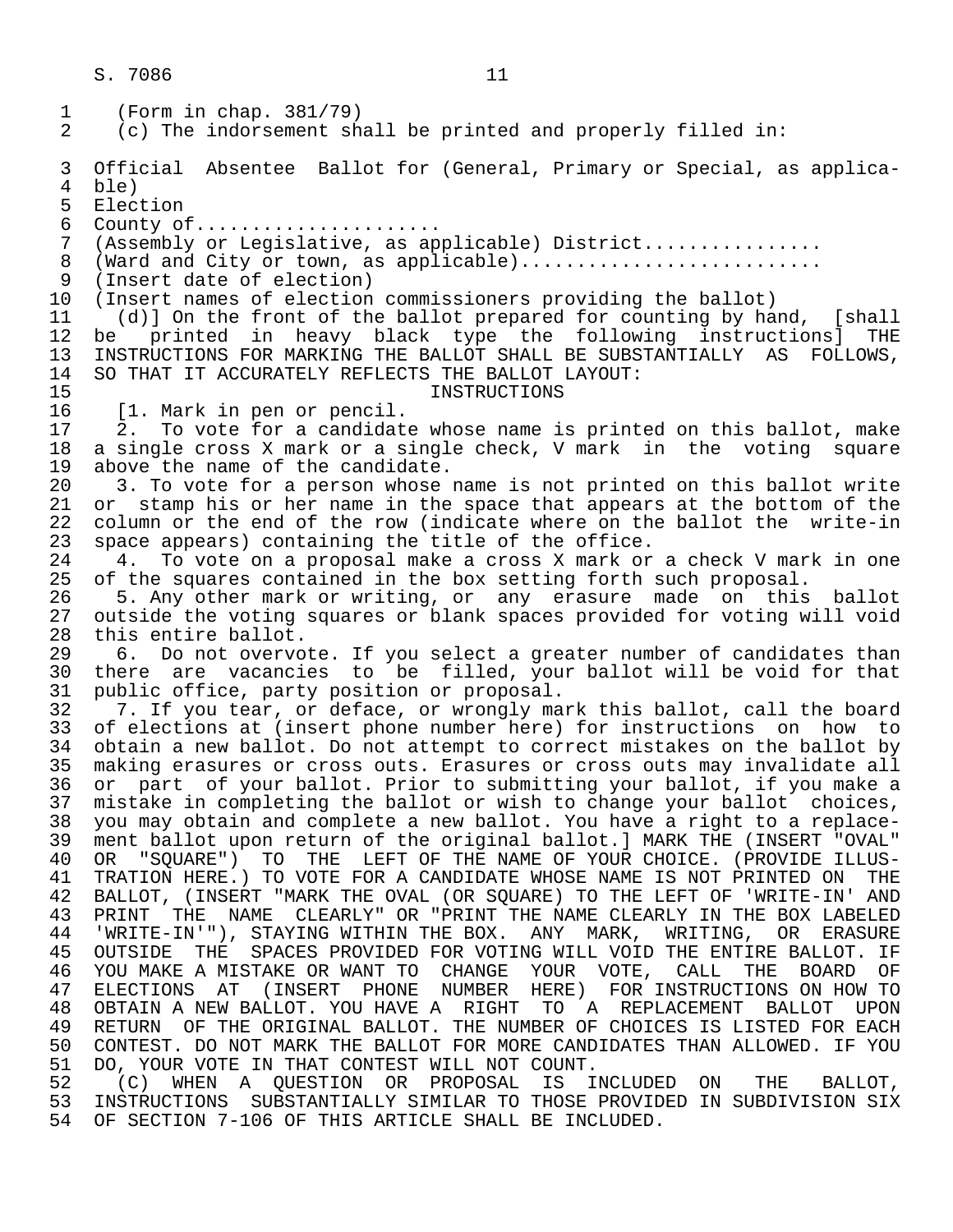1 (Form in chap. 381/79)<br>2 (c) The indorsement sh  $(c)$  The indorsement shall be printed and properly filled in: 3 Official Absentee Ballot for (General, Primary or Special, as applica- 4 ble)<br>5 Elec 5 Election<br>6 County of 6 County of.....................<br>7 (Assembly or Legislative, as ap (Assembly or Legislative, as applicable) District................ 8 (Ward and City or town, as applicable)............................<br>9 (Insert date of election) 9 (Insert date of election) 10 (Insert names of election commissioners providing the ballot)<br>11 (d)] On the front of the ballot prepared for counting by ha 11 (d)] On the front of the ballot prepared for counting by hand, [shall 12 be printed in heavy black type the following instructions] THE<br>13 INSTRUCTIONS FOR MARKING THE BALLOT SHALL BE SUBSTANTIALLY AS FOLLOWS. 13 INSTRUCTIONS FOR MARKING THE BALLOT SHALL BE SUBSTANTIALLY AS FOLLOWS, 14 SO THAT IT ACCURATELY REFLECTS THE BALLOT LAYOUT: 15 INSTRUCTIONS<br>16 [1. Mark in pen or pencil. 16 [1. Mark in pen or pencil.<br>17 2. To vote for a candidat 2. To vote for a candidate whose name is printed on this ballot, make 18 a single cross X mark or a single check, V mark in the voting square 19 above the name of the candidate.<br>20 3. To vote for a person whose: 20 3. To vote for a person whose name is not printed on this ballot write<br>21 or stamp his or her name in the space that appears at the bottom of the 21 or stamp his or her name in the space that appears at the bottom of the<br>22 column or the end of the row (indicate where on the ballot the write-in 22 column or the end of the row (indicate where on the ballot the write-in 23 space appears) containing the title of the office.<br>24 4. To vote on a proposal make a cross X mark or 24 4. To vote on a proposal make a cross X mark or a check V mark in one<br>25 of the squares contained in the box setting forth such proposal. 25 of the squares contained in the box setting forth such proposal.<br>26 5. Any other mark or writing, or any erasure made on this 26 5. Any other mark or writing, or any erasure made on this ballot<br>27 outside the voting squares or blank spaces provided for voting will void 27 outside the voting squares or blank spaces provided for voting will void<br>28 this entire ballot. 28 this entire ballot.<br>29 6. Do not overvo 29 6. Do not overvote. If you select a greater number of candidates than<br>30 there are vacancies to be filled, your ballot will be void for that 30 there are vacancies to be filled, your ballot will be void for that<br>31 public office, party position or proposal. 31 public office, party position or proposal.<br>32 7. If you tear, or deface, or wrongly ma 32 7. If you tear, or deface, or wrongly mark this ballot, call the board<br>33 of elections at (insert phone number here) for instructions on how to 33 of elections at (insert phone number here) for instructions on how to<br>34 obtain a new ballot. Do not attempt to correct mistakes on the ballot by 34 obtain a new ballot. Do not attempt to correct mistakes on the ballot by<br>35 making erasures or cross outs. Erasures or cross outs may invalidate all making erasures or cross outs. Erasures or cross outs may invalidate all 36 or part of your ballot. Prior to submitting your ballot, if you make a<br>37 mistake in completing the ballot or wish to change your ballot choices, 37 mistake in completing the ballot or wish to change your ballot choices,<br>38 you may obtain and complete a new ballot. You haye a right to a replace-38 you may obtain and complete a new ballot. You have a right to a replace-<br>39 ment ballot upon return of the original ballot.] MARK THE (INSERT "OVAL" 39 ment ballot upon return of the original ballot.] MARK THE (INSERT "OVAL"<br>40 OR "SOUARE") TO THE LEFT OF THE NAME OF YOUR CHOICE. (PROVIDE ILLUS-40 OR "SQUARE") TO THE LEFT OF THE NAME OF YOUR CHOICE. (PROVIDE ILLUS-<br>41 TRATION HERE.) TO VOTE FOR A CANDIDATE WHOSE NAME IS NOT PRINTED ON THE 41 TRATION HERE.) TO VOTE FOR A CANDIDATE WHOSE NAME IS NOT PRINTED ON THE 42 BALLOT, (INSERT "MARK THE OVAL (OR SOUARE) TO THE LEFT OF 'WRITE-IN' AND 42 BALLOT, (INSERT "MARK THE OVAL (OR SQUARE) TO THE LEFT OF 'WRITE-IN' AND<br>43 PRINT THE NAME CLEARLY" OR "PRINT THE NAME CLEARLY IN THE BOX LABELED 43 PRINT THE NAME CLEARLY" OR "PRINT THE NAME CLEARLY IN THE BOX LABELED<br>44 'WRITE-IN'"), STAYING WITHIN THE BOX. ANY MARK, WRITING, OR ERASURE 'WRITE-IN'"), STAYING WITHIN THE BOX. ANY MARK, WRITING, OR ERASURE 45 OUTSIDE THE SPACES PROVIDED FOR VOTING WILL VOID THE ENTIRE BALLOT. IF 46 YOU MAKE A MISTAKE OR WANT TO CHANGE YOUR VOTE, CALL THE BOARD OF 47 ELECTIONS AT (INSERT PHONE NUMBER HERE) FOR INSTRUCTIONS ON HOW TO<br>48 OBTAIN A NEW BALLOT. YOU HAVE A RIGHT TO A REPLACEMENT BALLOT UPON 48 OBTAIN A NEW BALLOT. YOU HAVE A RIGHT TO A REPLACEMENT BALLOT UPON<br>49 RETURN OF THE ORIGINAL BALLOT. THE NUMBER OF CHOICES IS LISTED FOR EACH 49 RETURN OF THE ORIGINAL BALLOT. THE NUMBER OF CHOICES IS LISTED FOR EACH<br>50 CONTEST. DO NOT MARK THE BALLOT FOR MORE CANDIDATES THAN ALLOWED. IF YOU 50 CONTEST. DO NOT MARK THE BALLOT FOR MORE CANDIDATES THAN ALLOWED. IF YOU<br>51 DO, YOUR VOTE IN THAT CONTEST WILL NOT COUNT. 51 DO, YOUR VOTE IN THAT CONTEST WILL NOT COUNT.<br>52 (C) WHEN A OUESTION OR PROPOSAL IS I 52 (C) WHEN A QUESTION OR PROPOSAL IS INCLUDED ON THE BALLOT,<br>53 INSTRUCTIONS SUBSTANTIALLY SIMILAR TO THOSE PROVIDED IN-SUBDIVISION-SIX

53 INSTRUCTIONS SUBSTANTIALLY SIMILAR TO THOSE PROVIDED IN SUBDIVISION SIX<br>54 OF SECTION 7-106 OF THIS ARTICLE SHALL BE INCLUDED. OF SECTION 7-106 OF THIS ARTICLE SHALL BE INCLUDED.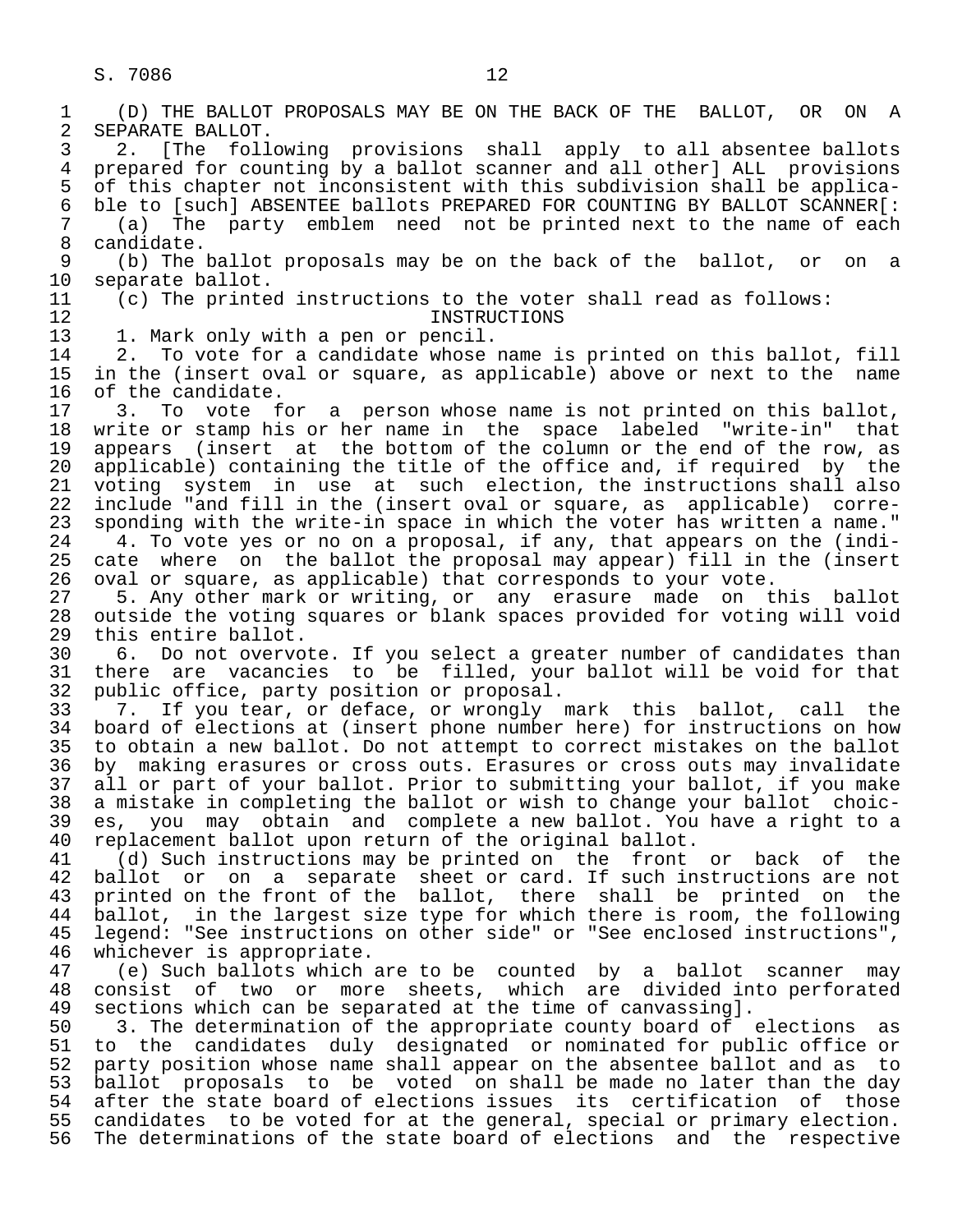1 (D) THE BALLOT PROPOSALS MAY BE ON THE BACK OF THE BALLOT, OR ON A 2 SEPARATE BALLOT.<br>3 2. [The foll [The following provisions shall apply to all absentee ballots 4 prepared for counting by a ballot scanner and all other] ALL provisions<br>5 of this chapter not inconsistent with this subdivision shall be applica-5 of this chapter not inconsistent with this subdivision shall be applica-<br>6 ble to [such] ABSENTEE ballots PREPARED FOR COUNTING BY BALLOT SCANNER[: 6 ble to [such] ABSENTEE ballots PREPARED FOR COUNTING BY BALLOT SCANNER[:<br>7 (a) The party emblem need not be printed next to the name of each 7 (a) The party emblem need not be printed next to the name of each 8 candidate.<br>9 (b) The 1 9 (b) The ballot proposals may be on the back of the ballot, or on a<br>10 separate ballot. 10 separate ballot.<br>11 (c) The printe 11 (c) The printed instructions to the voter shall read as follows: 12 INSTRUCTIONS<br>13 1. Mark only with a pen or pencil. 13 1. Mark only with a pen or pencil.<br>14 2. To vote for a candidate whose 2. To vote for a candidate whose name is printed on this ballot, fill 15 in the (insert oval or square, as applicable) above or next to the name<br>16 of the candidate. 16 of the candidate.<br>17 3. To vote f 17 3. To vote for a person whose name is not printed on this ballot,<br>18 write or stamp his or her name in the space labeled "write-in" that 18 write or stamp his or her name in the space labeled "write-in" that<br>19 appears (insert at the bottom of the column or the end of the row, as 19 appears (insert at the bottom of the column or the end of the row, as<br>20 applicable) containing the title of the office and, if required by the 20 applicable) containing the title of the office and, if required by the<br>21 voting system in use at such election, the instructions shall also 21 voting system in use at such election, the instructions shall also<br>22 include "and fill in the (insert oval or square, as applicable) corre-22 include "and fill in the (insert oval or square, as applicable) corre-<br>23 sponding with the write-in space in which the voter has written a name." 23 sponding with the write-in space in which the voter has written a name."<br>24 1. To vote ves or no on a proposal, if any, that appears on the (indi-24 4. To vote yes or no on a proposal, if any, that appears on the (indi-<br>25 cate where on the ballot the proposal may appear) fill in the (insert cate where on the ballot the proposal may appear) fill in the (insert 26 oval or square, as applicable) that corresponds to your vote. 27 5. Any other mark or writing, or any erasure made on this ballot 28 outside the voting squares or blank spaces provided for voting will void 29 this entire ballot.<br>30 6. Do not overvo 30 6. Do not overvote. If you select a greater number of candidates than 31 there are vacancies to be filled, your ballot will be void for that<br>32 public office, party position or proposal. 32 public office, party position or proposal.<br>33 7. If you tear, or deface, or wrongly 33 7. If you tear, or deface, or wrongly mark this ballot, call the<br>34 board of elections at (insert phone number here) for instructions on how 34 board of elections at (insert phone number here) for instructions on how<br>35 to obtain a new ballot. Do not attempt to correct mistakes on the ballot 35 to obtain a new ballot. Do not attempt to correct mistakes on the ballot<br>36 by making erasures or cross outs. Erasures or cross outs may invalidate by making erasures or cross outs. Erasures or cross outs may invalidate 37 all or part of your ballot. Prior to submitting your ballot, if you make 38 a mistake in completing the ballot or wish to change your ballot choic- 39 es, you may obtain and complete a new ballot. You have a right to a 40 replacement ballot upon return of the original ballot.<br>41 (d) Such instructions may be printed on the front 41 (d) Such instructions may be printed on the front or back of the<br>42 ballot or on a separate sheet or card. If such instructions are not 42 ballot or on a separate sheet or card. If such instructions are not<br>43 printed on the front of the ballot, there shall be printed on the 43 printed on the front of the ballot, there shall be printed on the<br>44 ballot, in the largest size type for which there is room, the following 44 ballot, in the largest size type for which there is room, the following<br>45 legend: "See instructions on other side" or "See enclosed instructions", legend: "See instructions on other side" or "See enclosed instructions", 46 whichever is appropriate.<br>47 (e) Such ballots which 47 (e) Such ballots which are to be counted by a ballot scanner may<br>48 consist of two or more sheets, which are divided into perforated 48 consist of two or more sheets, which are divided into perforated<br>49 sections which can be separated at the time of canvassing]. 49 sections which can be separated at the time of canvassing].<br>50 3. The determination of the appropriate county board of 50 3. The determination of the appropriate county board of elections as<br>51 to the candidates duly designated or nominated for public office or 51 to the candidates duly designated or nominated for public office or 52 party position whose name shall appear on the absentee ballot and as to<br>53 ballot proposals to be voted on shall be made no later than the day 53 ballot proposals to be voted on shall be made no later than the day<br>54 after the state board of elections issues its certification of those 54 after the state board of elections issues its certification of<br>55 candidates to be voted for at the general, special or primary ele 55 candidates to be voted for at the general, special or primary election.<br>56 The determinations of the state board of elections and the respective The determinations of the state board of elections and the respective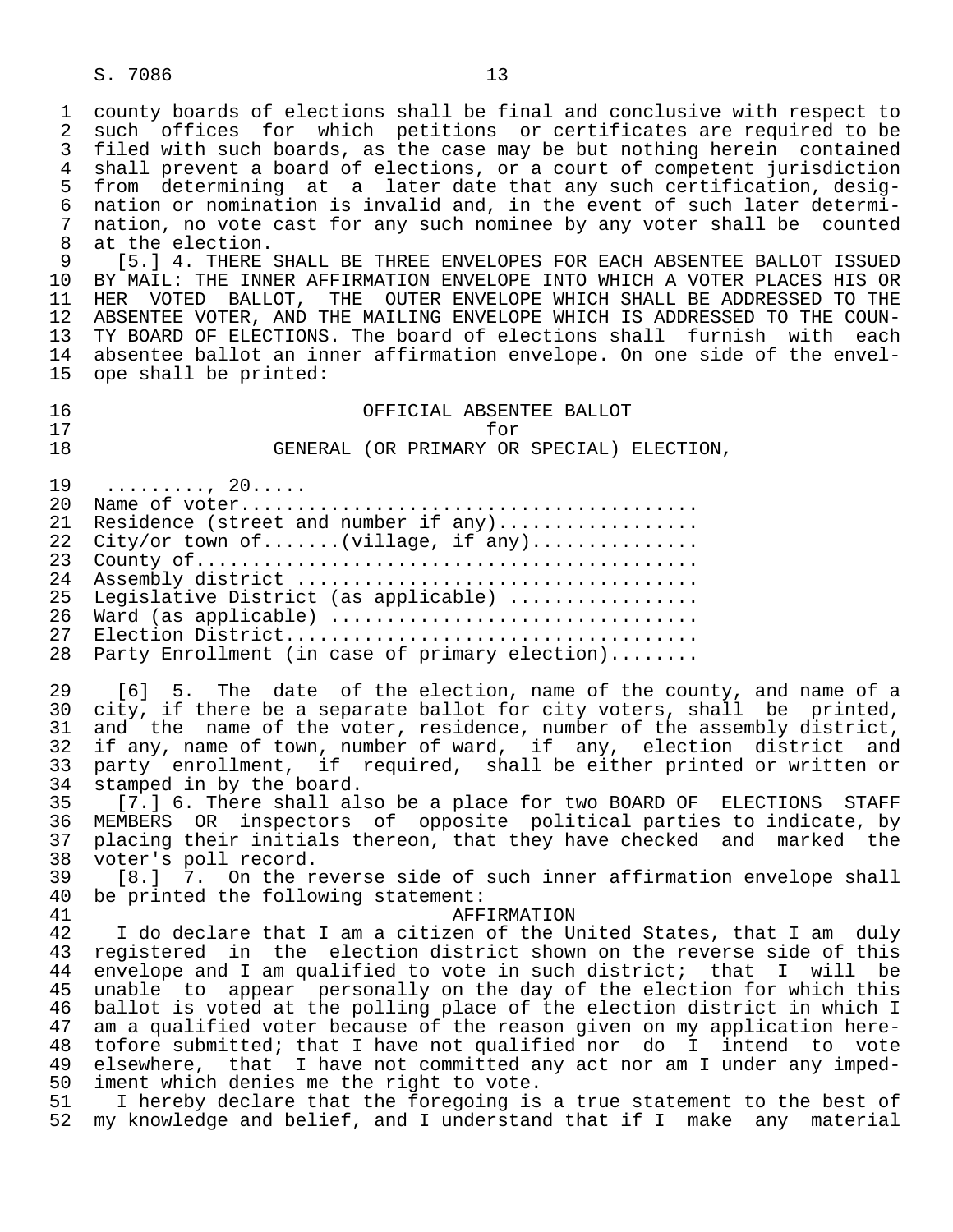1 county boards of elections shall be final and conclusive with respect to<br>2 such offices for which petitions or certificates are required to be 2 such offices for which petitions or certificates are required to be<br>3 filed with such boards, as the case may be but nothing herein contained filed with such boards, as the case may be but nothing herein contained 4 shall prevent a board of elections, or a court of competent jurisdiction<br>5 from determining at a later date that any such certification, desig-5 from determining at a later date that any such certification, desig-<br>6 nation or nomination is invalid and, in the event of such later determi-6 nation or nomination is invalid and, in the event of such later determi-<br>7 nation, no vote cast for any such nominee by any voter shall be counted 7 nation, no vote cast for any such nominee by any voter shall be counted<br>8 at the election. 8 at the election.<br>9 [5.1 4. THERE

 9 [5.] 4. THERE SHALL BE THREE ENVELOPES FOR EACH ABSENTEE BALLOT ISSUED 10 BY MAIL: THE INNER AFFIRMATION ENVELOPE INTO WHICH A VOTER PLACES HIS OR<br>11 HER VOTED BALLOT, THE OUTER ENVELOPE WHICH SHALL BE ADDRESSED TO THE 11 HER VOTED BALLOT, THE OUTER ENVELOPE WHICH SHALL BE ADDRESSED TO THE COUN-<br>12 ABSENTEE VOTER, AND THE MAILING ENVELOPE WHICH IS ADDRESSED TO THE COUN- 12 ABSENTEE VOTER, AND THE MAILING ENVELOPE WHICH IS ADDRESSED TO THE COUN- 13 TY BOARD OF ELECTIONS. The board of elections shall furnish with each<br>14 absentee ballot an inner affirmation envelope. On one side of the envelabsentee ballot an inner affirmation envelope. On one side of the envel-15 ope shall be printed:

 16 OFFICIAL ABSENTEE BALLOT 17 for 18 GENERAL (OR PRIMARY OR SPECIAL) ELECTION, 19 ........., 20.....<br>20 Name of voter...... 20 Name of voter......................................... Residence (street and number if any)................... 22 City/or town of.......(village, if any)...............

 23 County of............................................. 24 Assembly district .................................... Legislative District (as applicable) ................ 26 Ward (as applicable) ................................. 27 Election District..................................... 28 Party Enrollment (in case of primary election)........

29 [6] 5. The date of the election, name of the county, and name of a<br>30 city, if there be a separate ballot for city voters, shall be printed, 30 city, if there be a separate ballot for city voters, shall be printed,<br>31 and the name of the voter, residence, number of the assembly district, 31 and the name of the voter, residence, number of the assembly district,<br>32 if any, name of town, number of ward, if any, election district and 32 if any, name of town, number of ward, if any, election district and<br>33 party enrollment, if required, shall be either printed or written or 33 party enrollment, if required, shall be either printed or written or

34 stamped in by the board.<br>35 [7.] 6. There shall al 35 [7.] 6. There shall also be a place for two BOARD OF ELECTIONS STAFF<br>36 MEMBERS OR inspectors of opposite political parties to indicate, by 36 MEMBERS OR inspectors of opposite political-parties to indicate, by<br>37 placing their initials thereon, that they have checked and marked the placing their initials thereon, that they have checked and marked the 38 voter's poll record.<br>39 [8.] 7. On the r

39 [8.] 7. On the reverse side of such inner affirmation envelope shall<br>40 be printed the following statement: 40 be printed the following statement:<br>41 AFF

 41 AFFIRMATION 42 I do declare that I am a citizen of the United States, that I am duly<br>43 registered in the election district shown on the reverse side of this 43 registered in the election district shown on the reverse side of this<br>44 envelope and I am qualified to vote in such district; that I will be 44 envelope and I am qualified to vote in such district; that I will be<br>45 unable to appear personally on the day of the election for which this 45 unable to appear personally on the day of the election for which this<br>46 ballot is voted at the polling place of the election district in which I 46 ballot is voted at the polling place of the election district in which I<br>47 am a qualified voter because of the reason given on my application here-47 am a qualified voter because of the reason given on my application here-<br>48 tofore submitted; that I have not qualified nor do I intend to vote 48 tofore submitted; that I have not qualified nor do I intend to vote<br>49 elsewhere, that I have not committed any act nor am I under any imped-49 elsewhere, that I have not committed any act nor am I under any imped-<br>50 iment which denies me the right to vote. 50 iment which denies me the right to vote.<br>51 I hereby declare that the foregoing is

 51 I hereby declare that the foregoing is a true statement to the best of 52 my knowledge and belief, and I understand that if I make any material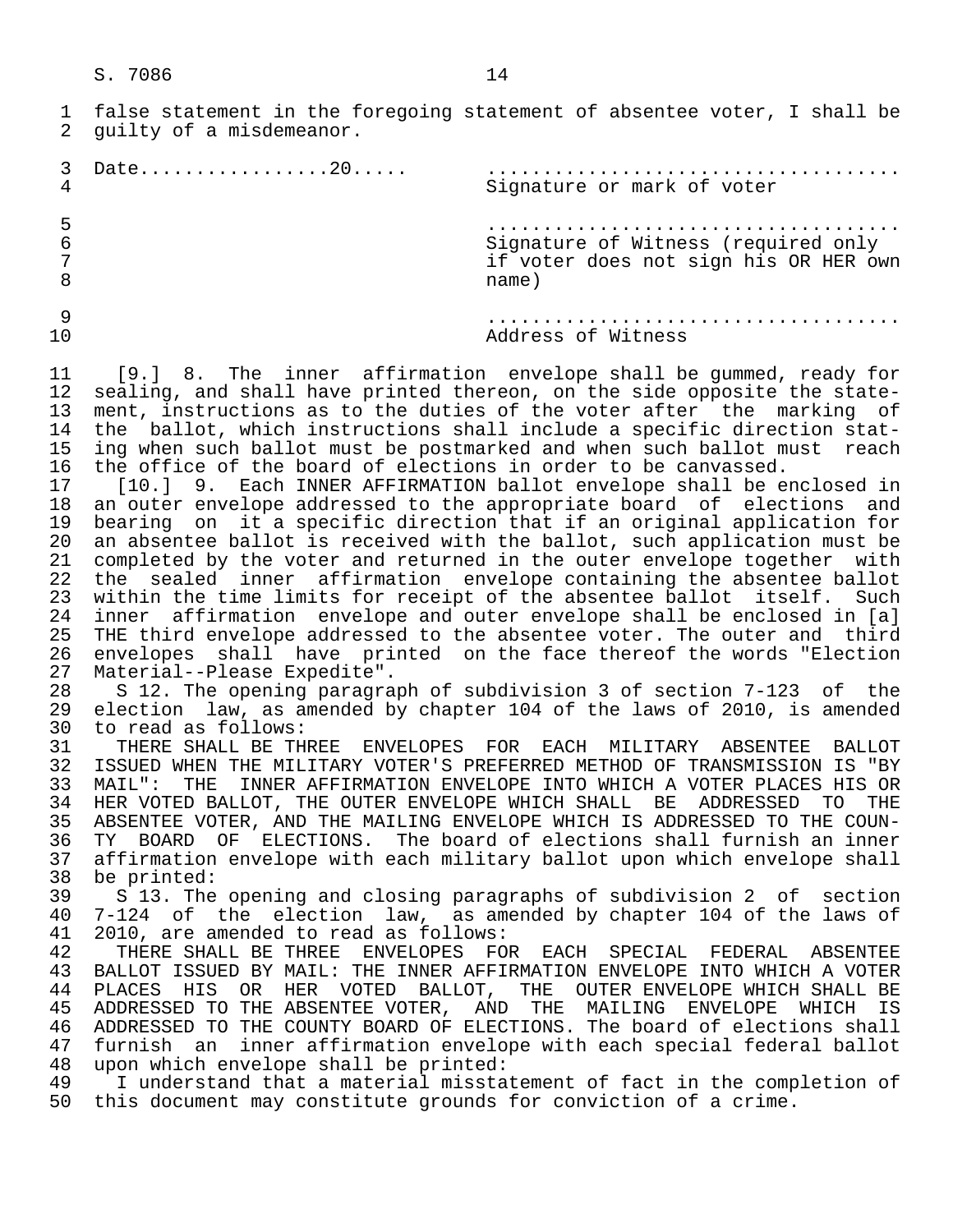1 false statement in the foregoing statement of absentee voter, I shall be<br>2 quilty of a misdemeanor. guilty of a misdemeanor.

 3 Date.................20..... ..................................... Signature or mark of voter 5 ..................................... 6 Signature of Witness (required only 7 if voter does not sign his OR HER own 8 name) 9 ..................................... Address of Witness

11 [9.] 8. The inner affirmation envelope shall be gummed, ready for<br>12 sealing, and shall have printed thereon, on the side opposite the state-12 sealing, and shall have printed thereon, on the side opposite the state-<br>13 ment, instructions as to the duties of the voter after the marking of 13 ment, instructions as to the duties of the voter after the marking of<br>14 the ballot, which instructions shall include a specific direction stat-14 the ballot, which instructions shall include a specific direction stat-<br>15 ing when such ballot must be postmarked and when such ballot must reach 15 ing when such ballot must be postmarked and when such ballot must reach<br>16 the office of the board of elections in order to be canvassed. 16 the office of the board of elections in order to be canvassed.<br>17 [10.1 9. Each INNER AFFIRMATION ballot envelope shall be e

17 [10.] 9. Each INNER AFFIRMATION ballot envelope shall be enclosed in<br>18 an outer envelope addressed to the appropriate board of elections and 18 an outer envelope addressed to the appropriate board of elections and<br>19 bearing on it a specific direction that if an original application for 19 bearing on it a specific direction that if an original application for<br>20 an absentee ballot is received with the ballot, such application must be 20 an absentee ballot is received with the ballot, such application must be<br>21 completed by the voter and returned in the outer envelope together with 21 completed by the voter and returned in the outer envelope together with<br>22 the sealed inner affirmation envelope containing the absentee ballot 22 the sealed inner affirmation envelope containing the absentee ballot<br>23 within the time limits for receipt of the absentee ballot itself. Such 23 within the time limits for receipt of the absentee ballot itself. Such<br>24 inner affirmation envelope and outer envelope shall be enclosed in [a] 24 inner affirmation envelope and outer envelope shall be enclosed in [a]<br>25 THE third envelope addressed to the absentee voter. The outer and third THE third envelope addressed to the absentee voter. The outer and third 26 envelopes shall have printed on the face thereof the words "Election<br>27 Material--Please Expedite". 27 Material--Please Expedite".<br>28 S 12. The opening paragra

28 S 12. The opening paragraph of subdivision 3 of section 7-123 of the<br>29 election law, as amended by chapter 104 of the laws of 2010, is amended 29 election law, as amended by chapter 104 of the laws of 2010, is amended 30 to read as follows:<br>31 THERE SHALL BE TH

31 THERE SHALL BE THREE ENVELOPES FOR EACH MILITARY ABSENTEE BALLOT<br>32 ISSUED WHEN THE MILITARY VOTER'S PREFERRED METHOD OF TRANSMISSION IS "BY 32 ISSUED WHEN THE MILITARY VOTER'S PREFERRED METHOD OF TRANSMISSION IS "BY<br>33 MAIL": THE INNER AFFIRMATION ENVELOPE INTO WHICH A VOTER PLACES HIS OR 33 MAIL": THE INNER AFFIRMATION ENVELOPE INTO WHICH A VOTER PLACES HIS OR<br>34 HER VOTED BALLOT, THE OUTER ENVELOPE WHICH SHALL BE ADDRESSED TO THE 34 HER VOTED BALLOT, THE OUTER ENVELOPE WHICH SHALL BE ADDRESSED TO THE COUN-<br>35 ABSENTEE VOTER, AND THE MAILING ENVELOPE WHICH IS ADDRESSED TO THE COUN-35 ABSENTEE VOTER, AND THE MAILING ENVELOPE WHICH IS ADDRESSED TO THE COUN-<br>36 TY BOARD OF ELECTIONS. The board of elections shall furnish an inner 36 TY BOARD OF ELECTIONS. The board of elections shall furnish an inner 37 affirmation envelope with each military ballot upon which envelope shall<br>38 be printed: 38 be printed:<br>39 S 13. The

 39 S 13. The opening and closing paragraphs of subdivision 2 of section 40 7-124 of the election law, as amended by chapter 104 of the laws of 41 2010, are amended to read as follows:<br>42 THERE SHALL BE THREE ENVELOPES FO

42 THERE SHALL BE THREE ENVELOPES FOR EACH SPECIAL FEDERAL ABSENTEE<br>43 BALLOT ISSUED BY MAIL: THE INNER AFFIRMATION ENVELOPE INTO WHICH A VOTER 43 BALLOT ISSUED BY MAIL: THE INNER AFFIRMATION ENVELOPE INTO WHICH A VOTER<br>44 PLACES HIS OR HER VOTED BALLOT, THE OUTER ENVELOPE WHICH SHALL BE 44 PLACES HIS OR HER VOTED BALLOT, THE OUTER ENVELOPE WHICH SHALL BE 45 ADDRESSED TO THE ABSENTEE VOTER, AND THE MAILING ENVELOPE WHICH IS 45 ADDRESSED TO THE ABSENTEE VOTER, AND THE MAILING ENVELOPE WHICH IS 46 ADDRESSED TO THE COUNTY BOARD OF ELECTIONS. The board of elections shall 47 furnish an inner affirmation envelope with each special federal ballot<br>48 upon which envelope shall be printed: 48 upon which envelope shall be printed:<br>49 I understand that a material missta

49 I understand that a material misstatement of fact in the completion of<br>50 this document may constitute grounds for conviction of a crime. this document may constitute grounds for conviction of a crime.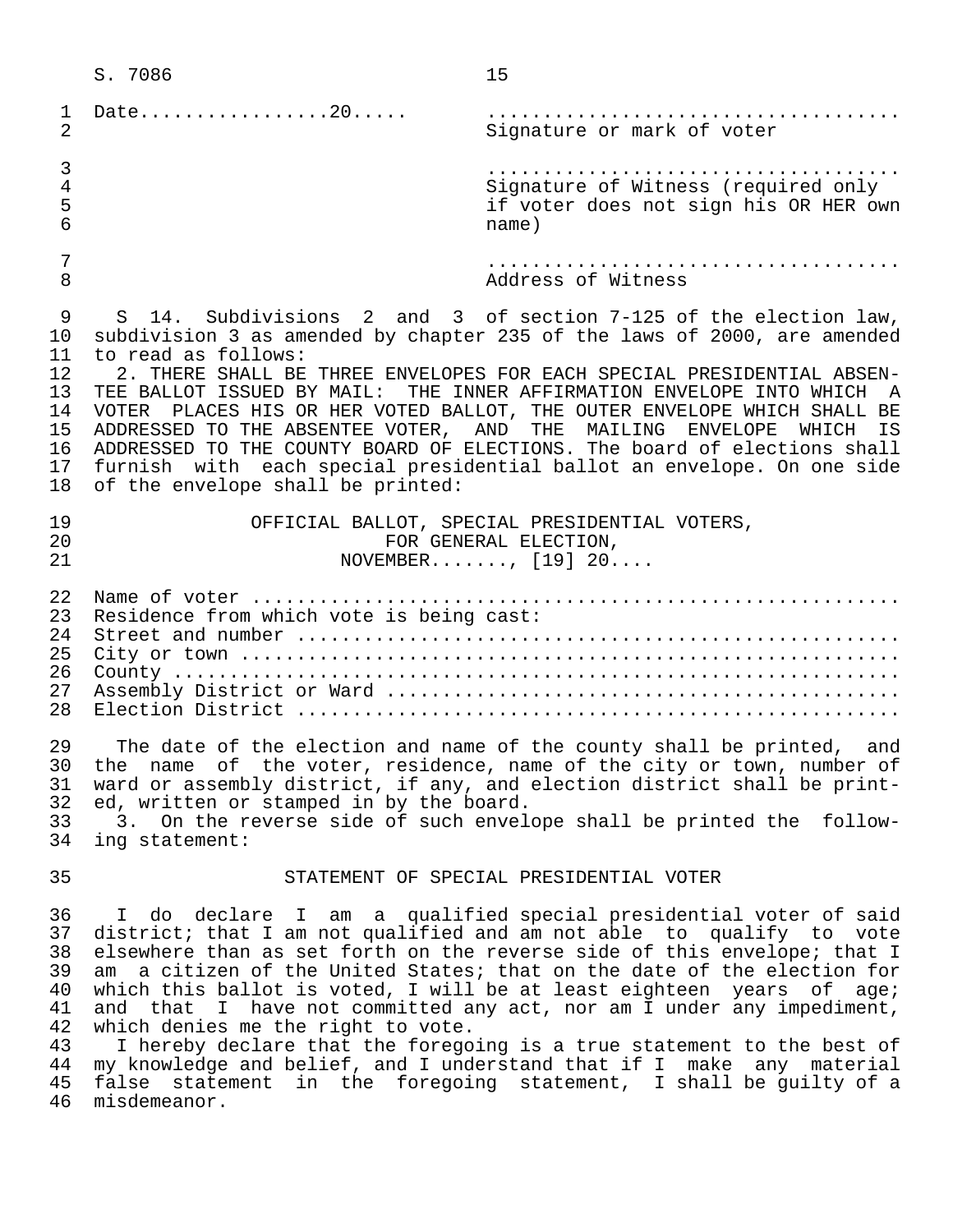|                                                                | S. 7086                                                                                                                                                                                                                                                                                                                                                                                                                                                                                                                                                                                                                                                                | 15                                                                                                                                                                                                                                                                                                                                                                                                                                                                                                                                                                                                                                                                         |
|----------------------------------------------------------------|------------------------------------------------------------------------------------------------------------------------------------------------------------------------------------------------------------------------------------------------------------------------------------------------------------------------------------------------------------------------------------------------------------------------------------------------------------------------------------------------------------------------------------------------------------------------------------------------------------------------------------------------------------------------|----------------------------------------------------------------------------------------------------------------------------------------------------------------------------------------------------------------------------------------------------------------------------------------------------------------------------------------------------------------------------------------------------------------------------------------------------------------------------------------------------------------------------------------------------------------------------------------------------------------------------------------------------------------------------|
| $\mathbf{1}$<br>$\overline{2}$                                 | Date20                                                                                                                                                                                                                                                                                                                                                                                                                                                                                                                                                                                                                                                                 | Signature or mark of voter                                                                                                                                                                                                                                                                                                                                                                                                                                                                                                                                                                                                                                                 |
| $\mathfrak{Z}$<br>4<br>5<br>6                                  |                                                                                                                                                                                                                                                                                                                                                                                                                                                                                                                                                                                                                                                                        | Signature of Witness (required only<br>if voter does not sign his OR HER own<br>name)                                                                                                                                                                                                                                                                                                                                                                                                                                                                                                                                                                                      |
| 7<br>8                                                         |                                                                                                                                                                                                                                                                                                                                                                                                                                                                                                                                                                                                                                                                        | Address of Witness                                                                                                                                                                                                                                                                                                                                                                                                                                                                                                                                                                                                                                                         |
| 9<br>10<br>11<br>12<br>13<br>14<br>15<br>16<br>17<br>18        | S 14. Subdivisions 2 and 3 of section 7-125 of the election law,<br>subdivision 3 as amended by chapter 235 of the laws of 2000, are amended<br>to read as follows:<br>2. THERE SHALL BE THREE ENVELOPES FOR EACH SPECIAL PRESIDENTIAL ABSEN-<br>TEE BALLOT ISSUED BY MAIL: THE INNER AFFIRMATION ENVELOPE INTO WHICH A<br>VOTER PLACES HIS OR HER VOTED BALLOT, THE OUTER ENVELOPE WHICH SHALL BE<br>ADDRESSED TO THE ABSENTEE VOTER, AND THE MAILING ENVELOPE WHICH<br>IS<br>ADDRESSED TO THE COUNTY BOARD OF ELECTIONS. The board of elections shall<br>furnish with each special presidential ballot an envelope. On one side<br>of the envelope shall be printed: |                                                                                                                                                                                                                                                                                                                                                                                                                                                                                                                                                                                                                                                                            |
| 19<br>20<br>21                                                 |                                                                                                                                                                                                                                                                                                                                                                                                                                                                                                                                                                                                                                                                        | OFFICIAL BALLOT, SPECIAL PRESIDENTIAL VOTERS,<br>FOR GENERAL ELECTION,<br>NOVEMBER, $[19] 20$                                                                                                                                                                                                                                                                                                                                                                                                                                                                                                                                                                              |
| 22<br>23<br>24<br>25<br>26<br>27<br>28                         | Residence from which vote is being cast:                                                                                                                                                                                                                                                                                                                                                                                                                                                                                                                                                                                                                               |                                                                                                                                                                                                                                                                                                                                                                                                                                                                                                                                                                                                                                                                            |
| 29<br>30<br>31<br>32<br>33<br>34                               | ed, written or stamped in by the board.<br>ing statement:                                                                                                                                                                                                                                                                                                                                                                                                                                                                                                                                                                                                              | The date of the election and name of the county shall be printed, and<br>the name of the voter, residence, name of the city or town, number of<br>ward or assembly district, if any, and election district shall be print-<br>3. On the reverse side of such envelope shall be printed the follow-                                                                                                                                                                                                                                                                                                                                                                         |
| 35                                                             |                                                                                                                                                                                                                                                                                                                                                                                                                                                                                                                                                                                                                                                                        | STATEMENT OF SPECIAL PRESIDENTIAL VOTER                                                                                                                                                                                                                                                                                                                                                                                                                                                                                                                                                                                                                                    |
| 36<br>37<br>38<br>39<br>40<br>41<br>42<br>43<br>44<br>45<br>46 | which denies me the right to vote.<br>misdemeanor.                                                                                                                                                                                                                                                                                                                                                                                                                                                                                                                                                                                                                     | I do declare I am a qualified special presidential voter of said<br>district; that I am not qualified and am not able to qualify to vote<br>elsewhere than as set forth on the reverse side of this envelope; that I<br>am a citizen of the United States; that on the date of the election for<br>which this ballot is voted, I will be at least eighteen years of age;<br>and that I have not committed any act, nor am I under any impediment,<br>I hereby declare that the foregoing is a true statement to the best of<br>my knowledge and belief, and I understand that if I make any material<br>false statement in the foregoing statement, I shall be guilty of a |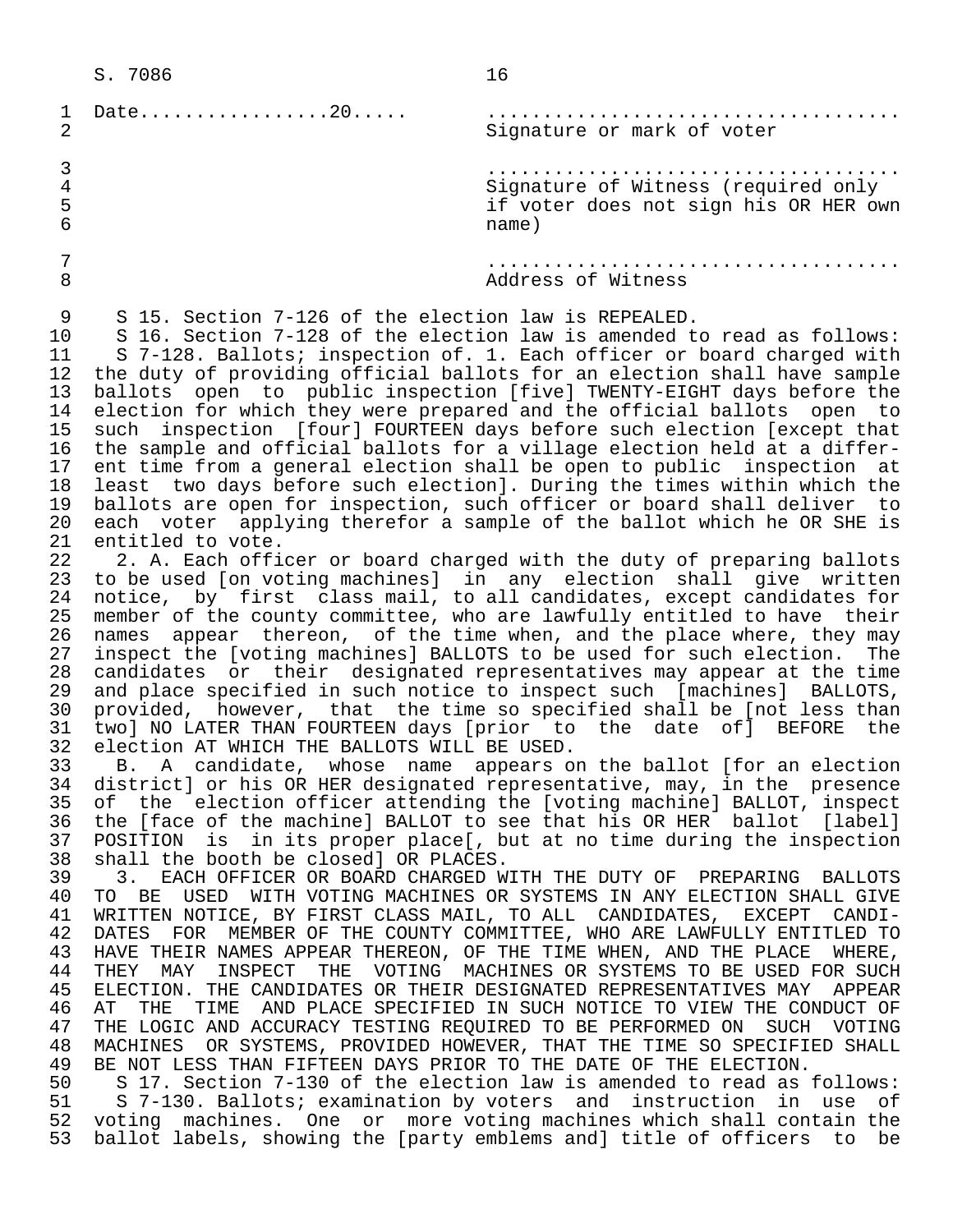|                           | Date20                                               | Signature or mark of voter                                                                                                                                                                                                                                                                            |
|---------------------------|------------------------------------------------------|-------------------------------------------------------------------------------------------------------------------------------------------------------------------------------------------------------------------------------------------------------------------------------------------------------|
| 4<br>5<br>6               |                                                      | Signature of Witness (required only<br>if voter does not sign his OR HER own<br>name)                                                                                                                                                                                                                 |
| 8                         |                                                      | Address of Witness                                                                                                                                                                                                                                                                                    |
| 9<br>10<br>11<br>12<br>13 | S 15. Section 7-126 of the election law is REPEALED. | S 16. Section 7-128 of the election law is amended to read as follows:<br>S 7-128. Ballots; inspection of. 1. Each officer or board charged with<br>the duty of providing official ballots for an election shall have sample<br>ballots open to public inspection [five] TWENTY-EIGHT days before the |

 14 election for which they were prepared and the official ballots open to 15 such inspection [four] FOURTEEN days before such election [except that 16 the sample and official ballots for a village election held at a differ- 17 ent time from a general election shall be open to public inspection at<br>18 least two days before such electionl. During the times within which the 18 least two days before such election]. During the times within which the<br>19 ballots are open for inspection, such officer or board shall deliver to 19 ballots are open for inspection, such officer or board shall deliver to 20 each voter applying therefor a sample of the ballot which he OR SHE is<br>21 entitled to vote. 21 entitled to vote.<br>22 2. A. Each offi

22 2. A. Each officer or board charged with the duty of preparing ballots<br>23 to be used [on voting machines] in any election shall give written 23 to be used [on voting machines] in any election shall give written<br>24 notice, by first class mail, to all candidates, except candidates for 24 notice, by first class mail, to all candidates, except candidates for<br>25 member of the county committee, who are lawfully entitled to have their 25 member of the county committee, who are lawfully entitled to have their<br>26 names appear thereon, of the time when, and the place where, they may 26 names appear thereon, of the time when, and the place where, they may<br>27 inspect the [voting machines] BALLOTS to be used for such election. The 27 inspect the [voting machines] BALLOTS to be used for such election. The<br>28 candidates or their designated representatives may appear at the time 28 candidates or their designated representatives may appear at the time<br>29 and place specified in such notice to inspect such [machines] BALLOTS, 29 and place specified in such notice to inspect such [machines] BALLOTS,<br>30 provided, however, that the time so specified shall be [not less than 30 provided, however, that the time so specified shall be [not less than<br>31 two] NO LATER THAN FOURTEEN days [prior to the date of] BEFORE the 31 two] NO LATER THAN FOURTEEN days [prior to the date of] BEFORE the 32 election AT WHICH THE BALLOTS WILL BE USED. 32 election AT WHICH THE BALLOTS WILL BE USED.

B. A candidate, whose name appears on the ballot [for an election 34 district] or his OR HER designated representative, may, in the presence 35 of the election officer attending the [voting machine] BALLOT, inspect 36 the [face of the machine] BALLOT to see that his OR HER ballot [label]<br>37 POSITION is in its proper place[, but at no time during the inspection 37 POSITION is in its proper place[, but at no time during the inspection<br>38 shall the booth be closed] OR PLACES. 38 shall the booth be closed] OR PLACES.

39 3. EACH OFFICER OR BOARD CHARGED WITH THE DUTY OF PREPARING BALLOTS<br>40 TO BE USED WITH VOTING MACHINES OR SYSTEMS IN ANY ELECTION SHALL GIVE 40 TO BE USED WITH VOTING MACHINES OR SYSTEMS IN ANY ELECTION SHALL GIVE<br>41 WRITTEN NOTICE, BY FIRST CLASS MAIL, TO ALL, CANDIDATES, EXCEPT CANDI- 41 WRITTEN NOTICE, BY FIRST CLASS MAIL, TO ALL CANDIDATES, EXCEPT CANDI- 42 DATES FOR MEMBER OF THE COUNTY COMMITTEE, WHO ARE LAWFULLY ENTITLED TO 43 HAVE THEIR NAMES APPEAR THEREON, OF THE TIME WHEN, AND THE PLACE WHERE,<br>44 THEY MAY INSPECT THE VOTING MACHINES OR SYSTEMS TO BE USED FOR SUCH 44 THEY MAY INSPECT THE VOTING MACHINES OR SYSTEMS TO BE USED FOR SUCH<br>45 ELECTION. THE CANDIDATES OR THEIR DESIGNATED REPRESENTATIVES MAY APPEAR 45 ELECTION. THE CANDIDATES OR THEIR DESIGNATED REPRESENTATIVES MAY APPEAR<br>46 AT THE TIME AND PLACE SPECIFIED IN SUCH NOTICE TO VIEW THE CONDUCT OF 46 AT THE TIME AND PLACE SPECIFIED IN SUCH NOTICE TO VIEW THE CONDUCT OF<br>47 THE LOGIC AND ACCURACY TESTING REOUIRED TO BE PERFORMED ON SUCH VOTING 47 THE LOGIC AND ACCURACY TESTING REQUIRED TO BE PERFORMED ON SUCH VOTING<br>48 MACHINES OR SYSTEMS, PROVIDED HOWEVER, THAT THE TIME SO SPECIFIED SHALL 48 MACHINES OR SYSTEMS, PROVIDED HOWEVER, THAT THE TIME SO SPECIFIED SHALL<br>49 BE NOT LESS THAN FIFTEEN DAYS PRIOR TO THE DATE OF THE ELECTION. 49 BE NOT LESS THAN FIFTEEN DAYS PRIOR TO THE DATE OF THE ELECTION.<br>50 S 17. Section 7-130 of the election law is amended to read as

50 S 17. Section 7-130 of the election law is amended to read as follows:<br>51 S 7-130. Ballots; examination by voters and instruction in use of 51 S 7-130. Ballots; examination by voters and instruction in use of<br>52 voting machines. One or more voting machines which shall contain the 52 voting machines. One or more voting machines which shall contain the<br>53 ballot labels, showing the [party emblems and] title of officers to be ballot labels, showing the [party emblems and] title of officers to be